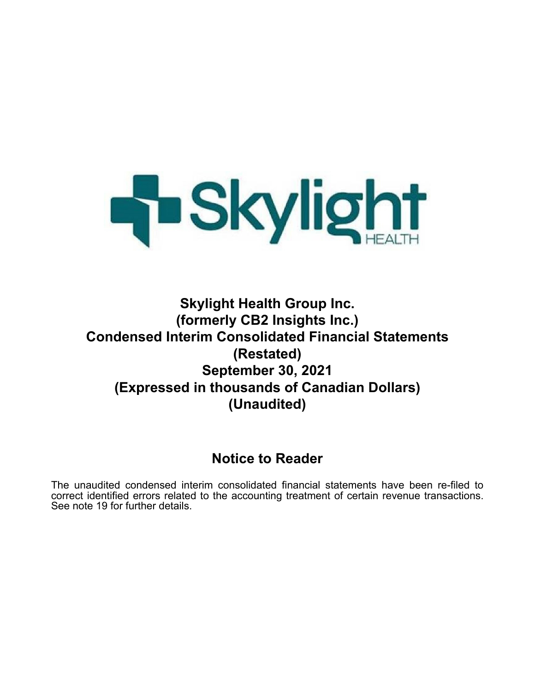

# **Skylight Health Group Inc. (formerly CB2 Insights Inc.) Condensed Interim Consolidated Financial Statements (Restated) September 30, 2021 (Expressed in thousands of Canadian Dollars) (Unaudited)**

# **Notice to Reader**

The unaudited condensed interim consolidated financial statements have been re-filed to correct identified errors related to the accounting treatment of certain revenue transactions. See note 19 for further details.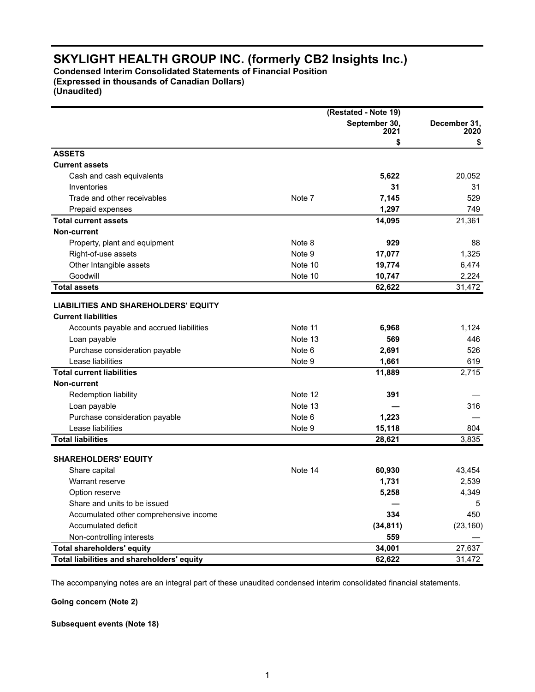**Condensed Interim Consolidated Statements of Financial Position (Expressed in thousands of Canadian Dollars) (Unaudited)**

|                                             |         | (Restated - Note 19)  |                      |
|---------------------------------------------|---------|-----------------------|----------------------|
|                                             |         | September 30,<br>2021 | December 31,<br>2020 |
|                                             |         | \$                    | \$                   |
| <b>ASSETS</b>                               |         |                       |                      |
| <b>Current assets</b>                       |         |                       |                      |
| Cash and cash equivalents                   |         | 5,622                 | 20,052               |
| Inventories                                 |         | 31                    | 31                   |
| Trade and other receivables                 | Note 7  | 7,145                 | 529                  |
| Prepaid expenses                            |         | 1,297                 | 749                  |
| <b>Total current assets</b>                 |         | 14,095                | 21,361               |
| <b>Non-current</b>                          |         |                       |                      |
| Property, plant and equipment               | Note 8  | 929                   | 88                   |
| Right-of-use assets                         | Note 9  | 17,077                | 1,325                |
| Other Intangible assets                     | Note 10 | 19,774                | 6,474                |
| Goodwill                                    | Note 10 | 10,747                | 2,224                |
| <b>Total assets</b>                         |         | 62,622                | 31,472               |
|                                             |         |                       |                      |
| <b>LIABILITIES AND SHAREHOLDERS' EQUITY</b> |         |                       |                      |
| <b>Current liabilities</b>                  |         |                       |                      |
| Accounts payable and accrued liabilities    | Note 11 | 6,968                 | 1,124                |
| Loan payable                                | Note 13 | 569                   | 446                  |
| Purchase consideration payable              | Note 6  | 2,691                 | 526                  |
| Lease liabilities                           | Note 9  | 1,661                 | 619                  |
| <b>Total current liabilities</b>            |         | 11,889                | 2,715                |
| <b>Non-current</b>                          |         |                       |                      |
| Redemption liability                        | Note 12 | 391                   |                      |
| Loan payable                                | Note 13 |                       | 316                  |
| Purchase consideration payable              | Note 6  | 1,223                 |                      |
| Lease liabilities                           | Note 9  | 15,118                | 804                  |
| <b>Total liabilities</b>                    |         | 28,621                | 3,835                |
|                                             |         |                       |                      |
| <b>SHAREHOLDERS' EQUITY</b>                 |         |                       |                      |
| Share capital                               | Note 14 | 60,930                | 43,454               |
| Warrant reserve                             |         | 1,731                 | 2,539                |
| Option reserve                              |         | 5,258                 | 4,349                |
| Share and units to be issued                |         |                       | 5                    |
| Accumulated other comprehensive income      |         | 334                   | 450                  |
| Accumulated deficit                         |         | (34, 811)             | (23, 160)            |
| Non-controlling interests                   |         | 559                   |                      |
| <b>Total shareholders' equity</b>           |         | 34,001                | 27,637               |
| Total liabilities and shareholders' equity  |         | 62,622                | 31,472               |

The accompanying notes are an integral part of these unaudited condensed interim consolidated financial statements.

**Going concern (Note 2)**

#### **Subsequent events (Note 18)**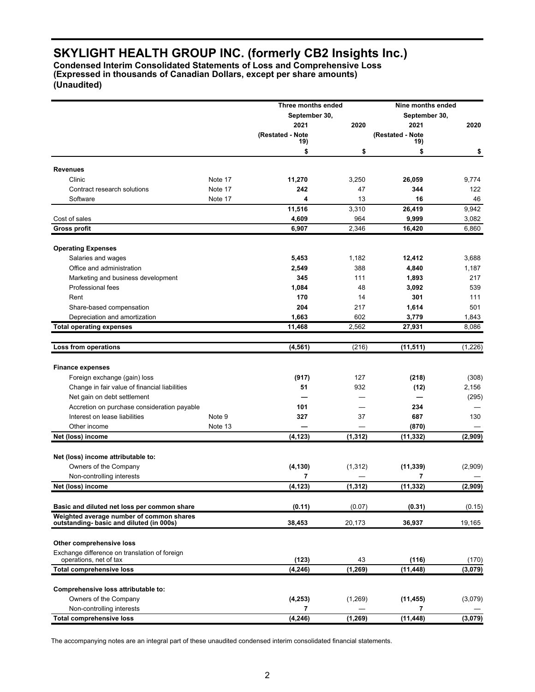**Condensed Interim Consolidated Statements of Loss and Comprehensive Loss (Expressed in thousands of Canadian Dollars, except per share amounts) (Unaudited)**

|                                                                                     |         | Three months ended |          | Nine months ended |          |
|-------------------------------------------------------------------------------------|---------|--------------------|----------|-------------------|----------|
|                                                                                     |         | September 30,      |          | September 30,     |          |
|                                                                                     |         | 2021               | 2020     | 2021              | 2020     |
|                                                                                     |         | (Restated - Note   |          | (Restated - Note  |          |
|                                                                                     |         | 19)<br>\$          | \$       | 19)<br>\$         | \$       |
|                                                                                     |         |                    |          |                   |          |
| <b>Revenues</b>                                                                     |         |                    |          |                   |          |
| Clinic                                                                              | Note 17 | 11,270             | 3,250    | 26,059            | 9,774    |
| Contract research solutions                                                         | Note 17 | 242                | 47       | 344               | 122      |
| Software                                                                            | Note 17 | 4                  | 13       | 16                | 46       |
|                                                                                     |         | 11,516             | 3,310    | 26,419            | 9,942    |
| Cost of sales                                                                       |         | 4,609              | 964      | 9,999             | 3,082    |
| <b>Gross profit</b>                                                                 |         | 6,907              | 2,346    | 16,420            | 6,860    |
| <b>Operating Expenses</b>                                                           |         |                    |          |                   |          |
| Salaries and wages                                                                  |         | 5,453              | 1,182    | 12,412            | 3,688    |
| Office and administration                                                           |         | 2,549              | 388      | 4,840             | 1,187    |
| Marketing and business development                                                  |         | 345                | 111      | 1,893             | 217      |
| Professional fees                                                                   |         | 1,084              | 48       | 3,092             | 539      |
| Rent                                                                                |         | 170                | 14       | 301               | 111      |
| Share-based compensation                                                            |         | 204                | 217      | 1,614             | 501      |
| Depreciation and amortization                                                       |         | 1,663              | 602      | 3,779             | 1,843    |
| <b>Total operating expenses</b>                                                     |         | 11,468             | 2,562    | 27,931            | 8,086    |
|                                                                                     |         |                    |          |                   |          |
| Loss from operations                                                                |         | (4, 561)           | (216)    | (11, 511)         | (1, 226) |
| <b>Finance expenses</b>                                                             |         |                    |          |                   |          |
| Foreign exchange (gain) loss                                                        |         | (917)              | 127      | (218)             | (308)    |
| Change in fair value of financial liabilities                                       |         | 51                 | 932      | (12)              | 2,156    |
| Net gain on debt settlement                                                         |         |                    |          |                   | (295)    |
| Accretion on purchase consideration payable                                         |         | 101                |          | 234               |          |
| Interest on lease liabilities                                                       | Note 9  | 327                | 37       | 687               | 130      |
| Other income                                                                        | Note 13 |                    |          | (870)             |          |
| Net (loss) income                                                                   |         | (4, 123)           | (1, 312) | (11, 332)         | (2,909)  |
|                                                                                     |         |                    |          |                   |          |
| Net (loss) income attributable to:                                                  |         |                    |          |                   |          |
| Owners of the Company                                                               |         | (4, 130)           | (1, 312) | (11, 339)         | (2,909)  |
| Non-controlling interests                                                           |         | 7                  |          | 7                 |          |
| Net (loss) income                                                                   |         | (4, 123)           | (1, 312) | (11, 332)         | (2,909)  |
| Basic and diluted net loss per common share                                         |         | (0.11)             | (0.07)   | (0.31)            | (0.15)   |
| Weighted average number of common shares<br>outstanding-basic and diluted (in 000s) |         | 38,453             | 20,173   | 36,937            | 19,165   |
|                                                                                     |         |                    |          |                   |          |
| Other comprehensive loss                                                            |         |                    |          |                   |          |
| Exchange difference on translation of foreign<br>operations, net of tax             |         | (123)              | 43       | (116)             |          |
| <b>Total comprehensive loss</b>                                                     |         |                    | (1, 269) |                   | (170)    |
|                                                                                     |         | (4, 246)           |          | (11, 448)         | (3,079)  |
| Comprehensive loss attributable to:                                                 |         |                    |          |                   |          |
| Owners of the Company                                                               |         | (4, 253)           | (1,269)  | (11, 455)         | (3,079)  |
| Non-controlling interests                                                           |         | 7                  |          | 7                 |          |
| <b>Total comprehensive loss</b>                                                     |         | (4, 246)           | (1, 269) | (11, 448)         | (3,079)  |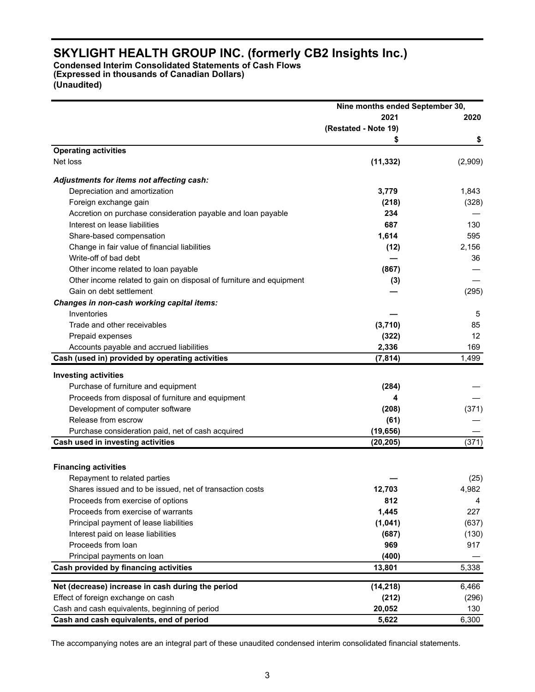**Condensed Interim Consolidated Statements of Cash Flows (Expressed in thousands of Canadian Dollars) (Unaudited)**

| 2021<br>2020<br>(Restated - Note 19)<br>\$<br>\$<br><b>Operating activities</b><br>Net loss<br>(11, 332)<br>Adjustments for items not affecting cash:<br>Depreciation and amortization<br>3,779<br>1,843<br>Foreign exchange gain<br>(218)<br>Accretion on purchase consideration payable and loan payable<br>234<br>Interest on lease liabilities<br>687<br>130<br>1,614<br>Share-based compensation<br>595<br>Change in fair value of financial liabilities<br>(12)<br>2,156<br>Write-off of bad debt<br>36<br>Other income related to loan payable<br>(867)<br>Other income related to gain on disposal of furniture and equipment<br>(3)<br>Gain on debt settlement<br>(295)<br>Changes in non-cash working capital items:<br>Inventories<br>5<br>Trade and other receivables<br>(3,710)<br>85<br>Prepaid expenses<br>(322)<br>12<br>2,336<br>Accounts payable and accrued liabilities<br>169<br>Cash (used in) provided by operating activities<br>1,499<br>(7, 814)<br><b>Investing activities</b><br>Purchase of furniture and equipment<br>(284)<br>Proceeds from disposal of furniture and equipment<br>4<br>Development of computer software<br>(371)<br>(208)<br>Release from escrow<br>(61)<br>Purchase consideration paid, net of cash acquired<br>(19, 656)<br>(371)<br>Cash used in investing activities<br>(20, 205)<br><b>Financing activities</b><br>Repayment to related parties<br>12,703<br>4,982<br>Shares issued and to be issued, net of transaction costs<br>812<br>Proceeds from exercise of options<br>4<br>Proceeds from exercise of warrants<br>1,445<br>227<br>(1,041)<br>Principal payment of lease liabilities<br>(637)<br>Interest paid on lease liabilities<br>(687)<br>Proceeds from loan<br>969<br>917<br>Principal payments on loan<br>(400)<br>Cash provided by financing activities<br>5,338<br>13,801<br>Net (decrease) increase in cash during the period<br>6,466<br>(14, 218)<br>Effect of foreign exchange on cash<br>(212)<br>(296)<br>Cash and cash equivalents, beginning of period<br>20,052<br>130<br>Cash and cash equivalents, end of period<br>5,622<br>6,300 | Nine months ended September 30, |         |
|-------------------------------------------------------------------------------------------------------------------------------------------------------------------------------------------------------------------------------------------------------------------------------------------------------------------------------------------------------------------------------------------------------------------------------------------------------------------------------------------------------------------------------------------------------------------------------------------------------------------------------------------------------------------------------------------------------------------------------------------------------------------------------------------------------------------------------------------------------------------------------------------------------------------------------------------------------------------------------------------------------------------------------------------------------------------------------------------------------------------------------------------------------------------------------------------------------------------------------------------------------------------------------------------------------------------------------------------------------------------------------------------------------------------------------------------------------------------------------------------------------------------------------------------------------------------------------------------------------------------------------------------------------------------------------------------------------------------------------------------------------------------------------------------------------------------------------------------------------------------------------------------------------------------------------------------------------------------------------------------------------------------------------------------------------------------------------------------------------------------|---------------------------------|---------|
|                                                                                                                                                                                                                                                                                                                                                                                                                                                                                                                                                                                                                                                                                                                                                                                                                                                                                                                                                                                                                                                                                                                                                                                                                                                                                                                                                                                                                                                                                                                                                                                                                                                                                                                                                                                                                                                                                                                                                                                                                                                                                                                   |                                 |         |
|                                                                                                                                                                                                                                                                                                                                                                                                                                                                                                                                                                                                                                                                                                                                                                                                                                                                                                                                                                                                                                                                                                                                                                                                                                                                                                                                                                                                                                                                                                                                                                                                                                                                                                                                                                                                                                                                                                                                                                                                                                                                                                                   |                                 |         |
|                                                                                                                                                                                                                                                                                                                                                                                                                                                                                                                                                                                                                                                                                                                                                                                                                                                                                                                                                                                                                                                                                                                                                                                                                                                                                                                                                                                                                                                                                                                                                                                                                                                                                                                                                                                                                                                                                                                                                                                                                                                                                                                   |                                 |         |
|                                                                                                                                                                                                                                                                                                                                                                                                                                                                                                                                                                                                                                                                                                                                                                                                                                                                                                                                                                                                                                                                                                                                                                                                                                                                                                                                                                                                                                                                                                                                                                                                                                                                                                                                                                                                                                                                                                                                                                                                                                                                                                                   |                                 |         |
|                                                                                                                                                                                                                                                                                                                                                                                                                                                                                                                                                                                                                                                                                                                                                                                                                                                                                                                                                                                                                                                                                                                                                                                                                                                                                                                                                                                                                                                                                                                                                                                                                                                                                                                                                                                                                                                                                                                                                                                                                                                                                                                   |                                 | (2,909) |
|                                                                                                                                                                                                                                                                                                                                                                                                                                                                                                                                                                                                                                                                                                                                                                                                                                                                                                                                                                                                                                                                                                                                                                                                                                                                                                                                                                                                                                                                                                                                                                                                                                                                                                                                                                                                                                                                                                                                                                                                                                                                                                                   |                                 |         |
|                                                                                                                                                                                                                                                                                                                                                                                                                                                                                                                                                                                                                                                                                                                                                                                                                                                                                                                                                                                                                                                                                                                                                                                                                                                                                                                                                                                                                                                                                                                                                                                                                                                                                                                                                                                                                                                                                                                                                                                                                                                                                                                   |                                 |         |
|                                                                                                                                                                                                                                                                                                                                                                                                                                                                                                                                                                                                                                                                                                                                                                                                                                                                                                                                                                                                                                                                                                                                                                                                                                                                                                                                                                                                                                                                                                                                                                                                                                                                                                                                                                                                                                                                                                                                                                                                                                                                                                                   |                                 | (328)   |
|                                                                                                                                                                                                                                                                                                                                                                                                                                                                                                                                                                                                                                                                                                                                                                                                                                                                                                                                                                                                                                                                                                                                                                                                                                                                                                                                                                                                                                                                                                                                                                                                                                                                                                                                                                                                                                                                                                                                                                                                                                                                                                                   |                                 |         |
|                                                                                                                                                                                                                                                                                                                                                                                                                                                                                                                                                                                                                                                                                                                                                                                                                                                                                                                                                                                                                                                                                                                                                                                                                                                                                                                                                                                                                                                                                                                                                                                                                                                                                                                                                                                                                                                                                                                                                                                                                                                                                                                   |                                 |         |
|                                                                                                                                                                                                                                                                                                                                                                                                                                                                                                                                                                                                                                                                                                                                                                                                                                                                                                                                                                                                                                                                                                                                                                                                                                                                                                                                                                                                                                                                                                                                                                                                                                                                                                                                                                                                                                                                                                                                                                                                                                                                                                                   |                                 |         |
|                                                                                                                                                                                                                                                                                                                                                                                                                                                                                                                                                                                                                                                                                                                                                                                                                                                                                                                                                                                                                                                                                                                                                                                                                                                                                                                                                                                                                                                                                                                                                                                                                                                                                                                                                                                                                                                                                                                                                                                                                                                                                                                   |                                 |         |
|                                                                                                                                                                                                                                                                                                                                                                                                                                                                                                                                                                                                                                                                                                                                                                                                                                                                                                                                                                                                                                                                                                                                                                                                                                                                                                                                                                                                                                                                                                                                                                                                                                                                                                                                                                                                                                                                                                                                                                                                                                                                                                                   |                                 |         |
|                                                                                                                                                                                                                                                                                                                                                                                                                                                                                                                                                                                                                                                                                                                                                                                                                                                                                                                                                                                                                                                                                                                                                                                                                                                                                                                                                                                                                                                                                                                                                                                                                                                                                                                                                                                                                                                                                                                                                                                                                                                                                                                   |                                 |         |
|                                                                                                                                                                                                                                                                                                                                                                                                                                                                                                                                                                                                                                                                                                                                                                                                                                                                                                                                                                                                                                                                                                                                                                                                                                                                                                                                                                                                                                                                                                                                                                                                                                                                                                                                                                                                                                                                                                                                                                                                                                                                                                                   |                                 |         |
|                                                                                                                                                                                                                                                                                                                                                                                                                                                                                                                                                                                                                                                                                                                                                                                                                                                                                                                                                                                                                                                                                                                                                                                                                                                                                                                                                                                                                                                                                                                                                                                                                                                                                                                                                                                                                                                                                                                                                                                                                                                                                                                   |                                 |         |
|                                                                                                                                                                                                                                                                                                                                                                                                                                                                                                                                                                                                                                                                                                                                                                                                                                                                                                                                                                                                                                                                                                                                                                                                                                                                                                                                                                                                                                                                                                                                                                                                                                                                                                                                                                                                                                                                                                                                                                                                                                                                                                                   |                                 |         |
|                                                                                                                                                                                                                                                                                                                                                                                                                                                                                                                                                                                                                                                                                                                                                                                                                                                                                                                                                                                                                                                                                                                                                                                                                                                                                                                                                                                                                                                                                                                                                                                                                                                                                                                                                                                                                                                                                                                                                                                                                                                                                                                   |                                 |         |
|                                                                                                                                                                                                                                                                                                                                                                                                                                                                                                                                                                                                                                                                                                                                                                                                                                                                                                                                                                                                                                                                                                                                                                                                                                                                                                                                                                                                                                                                                                                                                                                                                                                                                                                                                                                                                                                                                                                                                                                                                                                                                                                   |                                 |         |
|                                                                                                                                                                                                                                                                                                                                                                                                                                                                                                                                                                                                                                                                                                                                                                                                                                                                                                                                                                                                                                                                                                                                                                                                                                                                                                                                                                                                                                                                                                                                                                                                                                                                                                                                                                                                                                                                                                                                                                                                                                                                                                                   |                                 |         |
|                                                                                                                                                                                                                                                                                                                                                                                                                                                                                                                                                                                                                                                                                                                                                                                                                                                                                                                                                                                                                                                                                                                                                                                                                                                                                                                                                                                                                                                                                                                                                                                                                                                                                                                                                                                                                                                                                                                                                                                                                                                                                                                   |                                 |         |
|                                                                                                                                                                                                                                                                                                                                                                                                                                                                                                                                                                                                                                                                                                                                                                                                                                                                                                                                                                                                                                                                                                                                                                                                                                                                                                                                                                                                                                                                                                                                                                                                                                                                                                                                                                                                                                                                                                                                                                                                                                                                                                                   |                                 |         |
|                                                                                                                                                                                                                                                                                                                                                                                                                                                                                                                                                                                                                                                                                                                                                                                                                                                                                                                                                                                                                                                                                                                                                                                                                                                                                                                                                                                                                                                                                                                                                                                                                                                                                                                                                                                                                                                                                                                                                                                                                                                                                                                   |                                 |         |
|                                                                                                                                                                                                                                                                                                                                                                                                                                                                                                                                                                                                                                                                                                                                                                                                                                                                                                                                                                                                                                                                                                                                                                                                                                                                                                                                                                                                                                                                                                                                                                                                                                                                                                                                                                                                                                                                                                                                                                                                                                                                                                                   |                                 |         |
|                                                                                                                                                                                                                                                                                                                                                                                                                                                                                                                                                                                                                                                                                                                                                                                                                                                                                                                                                                                                                                                                                                                                                                                                                                                                                                                                                                                                                                                                                                                                                                                                                                                                                                                                                                                                                                                                                                                                                                                                                                                                                                                   |                                 |         |
|                                                                                                                                                                                                                                                                                                                                                                                                                                                                                                                                                                                                                                                                                                                                                                                                                                                                                                                                                                                                                                                                                                                                                                                                                                                                                                                                                                                                                                                                                                                                                                                                                                                                                                                                                                                                                                                                                                                                                                                                                                                                                                                   |                                 |         |
|                                                                                                                                                                                                                                                                                                                                                                                                                                                                                                                                                                                                                                                                                                                                                                                                                                                                                                                                                                                                                                                                                                                                                                                                                                                                                                                                                                                                                                                                                                                                                                                                                                                                                                                                                                                                                                                                                                                                                                                                                                                                                                                   |                                 |         |
|                                                                                                                                                                                                                                                                                                                                                                                                                                                                                                                                                                                                                                                                                                                                                                                                                                                                                                                                                                                                                                                                                                                                                                                                                                                                                                                                                                                                                                                                                                                                                                                                                                                                                                                                                                                                                                                                                                                                                                                                                                                                                                                   |                                 |         |
|                                                                                                                                                                                                                                                                                                                                                                                                                                                                                                                                                                                                                                                                                                                                                                                                                                                                                                                                                                                                                                                                                                                                                                                                                                                                                                                                                                                                                                                                                                                                                                                                                                                                                                                                                                                                                                                                                                                                                                                                                                                                                                                   |                                 |         |
|                                                                                                                                                                                                                                                                                                                                                                                                                                                                                                                                                                                                                                                                                                                                                                                                                                                                                                                                                                                                                                                                                                                                                                                                                                                                                                                                                                                                                                                                                                                                                                                                                                                                                                                                                                                                                                                                                                                                                                                                                                                                                                                   |                                 |         |
|                                                                                                                                                                                                                                                                                                                                                                                                                                                                                                                                                                                                                                                                                                                                                                                                                                                                                                                                                                                                                                                                                                                                                                                                                                                                                                                                                                                                                                                                                                                                                                                                                                                                                                                                                                                                                                                                                                                                                                                                                                                                                                                   |                                 |         |
|                                                                                                                                                                                                                                                                                                                                                                                                                                                                                                                                                                                                                                                                                                                                                                                                                                                                                                                                                                                                                                                                                                                                                                                                                                                                                                                                                                                                                                                                                                                                                                                                                                                                                                                                                                                                                                                                                                                                                                                                                                                                                                                   |                                 | (25)    |
|                                                                                                                                                                                                                                                                                                                                                                                                                                                                                                                                                                                                                                                                                                                                                                                                                                                                                                                                                                                                                                                                                                                                                                                                                                                                                                                                                                                                                                                                                                                                                                                                                                                                                                                                                                                                                                                                                                                                                                                                                                                                                                                   |                                 |         |
|                                                                                                                                                                                                                                                                                                                                                                                                                                                                                                                                                                                                                                                                                                                                                                                                                                                                                                                                                                                                                                                                                                                                                                                                                                                                                                                                                                                                                                                                                                                                                                                                                                                                                                                                                                                                                                                                                                                                                                                                                                                                                                                   |                                 |         |
|                                                                                                                                                                                                                                                                                                                                                                                                                                                                                                                                                                                                                                                                                                                                                                                                                                                                                                                                                                                                                                                                                                                                                                                                                                                                                                                                                                                                                                                                                                                                                                                                                                                                                                                                                                                                                                                                                                                                                                                                                                                                                                                   |                                 |         |
|                                                                                                                                                                                                                                                                                                                                                                                                                                                                                                                                                                                                                                                                                                                                                                                                                                                                                                                                                                                                                                                                                                                                                                                                                                                                                                                                                                                                                                                                                                                                                                                                                                                                                                                                                                                                                                                                                                                                                                                                                                                                                                                   |                                 |         |
|                                                                                                                                                                                                                                                                                                                                                                                                                                                                                                                                                                                                                                                                                                                                                                                                                                                                                                                                                                                                                                                                                                                                                                                                                                                                                                                                                                                                                                                                                                                                                                                                                                                                                                                                                                                                                                                                                                                                                                                                                                                                                                                   |                                 | (130)   |
|                                                                                                                                                                                                                                                                                                                                                                                                                                                                                                                                                                                                                                                                                                                                                                                                                                                                                                                                                                                                                                                                                                                                                                                                                                                                                                                                                                                                                                                                                                                                                                                                                                                                                                                                                                                                                                                                                                                                                                                                                                                                                                                   |                                 |         |
|                                                                                                                                                                                                                                                                                                                                                                                                                                                                                                                                                                                                                                                                                                                                                                                                                                                                                                                                                                                                                                                                                                                                                                                                                                                                                                                                                                                                                                                                                                                                                                                                                                                                                                                                                                                                                                                                                                                                                                                                                                                                                                                   |                                 |         |
|                                                                                                                                                                                                                                                                                                                                                                                                                                                                                                                                                                                                                                                                                                                                                                                                                                                                                                                                                                                                                                                                                                                                                                                                                                                                                                                                                                                                                                                                                                                                                                                                                                                                                                                                                                                                                                                                                                                                                                                                                                                                                                                   |                                 |         |
|                                                                                                                                                                                                                                                                                                                                                                                                                                                                                                                                                                                                                                                                                                                                                                                                                                                                                                                                                                                                                                                                                                                                                                                                                                                                                                                                                                                                                                                                                                                                                                                                                                                                                                                                                                                                                                                                                                                                                                                                                                                                                                                   |                                 |         |
|                                                                                                                                                                                                                                                                                                                                                                                                                                                                                                                                                                                                                                                                                                                                                                                                                                                                                                                                                                                                                                                                                                                                                                                                                                                                                                                                                                                                                                                                                                                                                                                                                                                                                                                                                                                                                                                                                                                                                                                                                                                                                                                   |                                 |         |
|                                                                                                                                                                                                                                                                                                                                                                                                                                                                                                                                                                                                                                                                                                                                                                                                                                                                                                                                                                                                                                                                                                                                                                                                                                                                                                                                                                                                                                                                                                                                                                                                                                                                                                                                                                                                                                                                                                                                                                                                                                                                                                                   |                                 |         |
|                                                                                                                                                                                                                                                                                                                                                                                                                                                                                                                                                                                                                                                                                                                                                                                                                                                                                                                                                                                                                                                                                                                                                                                                                                                                                                                                                                                                                                                                                                                                                                                                                                                                                                                                                                                                                                                                                                                                                                                                                                                                                                                   |                                 |         |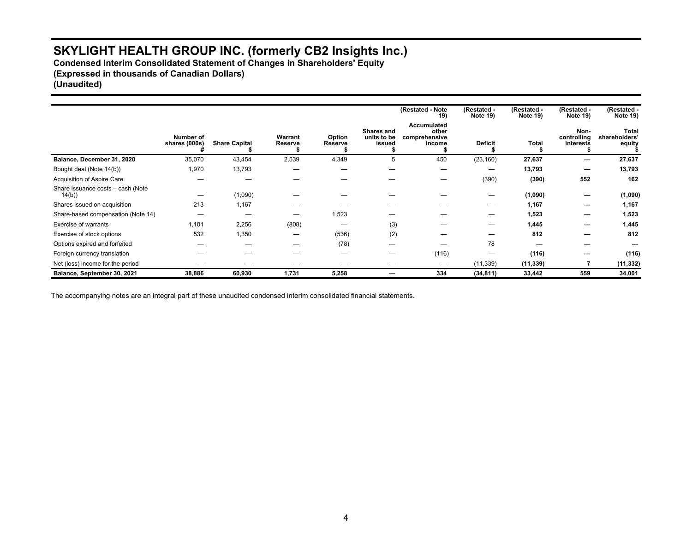**Condensed Interim Consolidated Statement of Changes in Shareholders' Equity (Expressed in thousands of Canadian Dollars) (Unaudited)**

**(Restated - Note 19) (Restated - Note 19) (Restated - Note 19) (Restated - Note 19) (Restated - Note 19) Number of shares (000s) # Share Capital \$ Warrant Reserve \$ Option Reserve \$ Shares and units to be issued \$ Accumulated other comprehensive income \$ Deficit \$ Total \$ Noncontrolling interests \$ Total shareholders' equity \$ Balance, December 31, 2020** 35,070 43,454 2,539 4,349 5 450 (23,160) **27,637 — 27,637**  Bought deal (Note 14(b)) 1,970 13,793 — — — — — **13,793 — 13,793**  Acquisition of Aspire Care — — — — — — (390) **(390) 552 162**  Share issuance costs – cash (Note 14(b)) 14(b)) — (1,090) — — — — — **(1,090) — (1,090)**  Shares issued on acquisition 213 1,167 — — — — — **1,167 — 1,167**  Share-based compensation (Note 14) — — — 1,523 — — — **1,523 — 1,523**  Exercise of warrants 1,101 2,256 (808) — (3) — — **1,445 — 1,445**  Exercise of stock options 532 1,350 — (536) (2) — — **812 — 812**  Options expired and forfeited — — — (78) — — 78 **— — —**  Foreign currency translation — — — — — (116) — **(116) — (116)**  Net (loss) income for the period – – – – – – – – – (11,339) **(11,339) 7** (11,332) **Balance, September 30, 2021 38,886 60,930 1,731 5,258 — 334 (34,811) 33,442 559 34,001**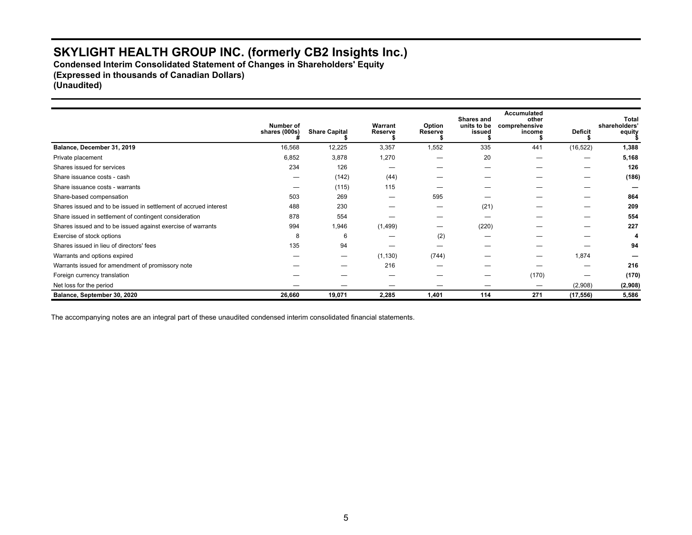**Condensed Interim Consolidated Statement of Changes in Shareholders' Equity (Expressed in thousands of Canadian Dollars) (Unaudited)**

**Number of shares (000s) # Share Capital \$ Warrant Reserve \$ Option Reserve \$ Shares and units to be issued \$ Accumulated other comprehensive income \$ Deficit \$ Total shareholders' equity \$ Balance, December 31, 2019** 1,388 16,568 12,225 3,357 1,552 3,355 441 (16,522) 1,388 Private placement 6,852 3,878 1,270 — 20 — — **5,168**  Shares issued for services 234 126 — — — — — **126**  Share issuance costs - cash — (142) (44) — — — — **(186)**  Share issuance costs - warrants **2020 2020 2020 2020 2020 2020 2020 2020 2020 2020 2020 2020 2020 2020 2020 2020 2020 2020 2020 2020 2020 2020 2020 2020 2020 2020 2020** Share-based compensation 503 269 — 595 — — — **864**  Shares issued and to be issued in settlement of accrued interest 488 230 - - (21) - - 209 Share issued in settlement of contingent consideration **878** 554 — — — — — — — — 554 Shares issued and to be issued against exercise of warrants 994 1,946 (1,499) — (220) — — **227**  Exercise of stock options 8 6 — (2) — — — **4**  Shares issued in lieu of directors' fees 135 94 — — — — — — — — — 94 Warrants and options expired — — (1,130) (744) — — 1,874 **—**  Warrants issued for amendment of promissory note **According to the COV COV COV** — 216 — — — — — 216 — — 216 Foreign currency translation — — — — — (170) — **(170)**  Net loss for the period — — — — — — (2,908) **(2,908) Balance, September 30, 2020 26,660 19,071 2,285 1,401 114 271 (17,556) 5,586**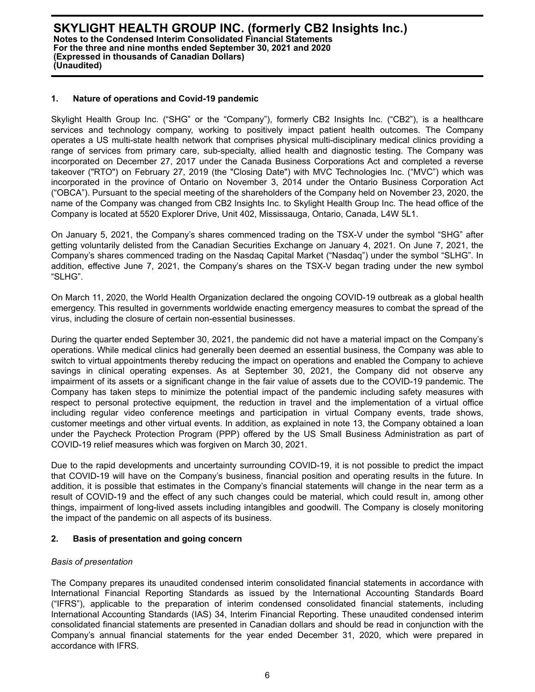#### **1. Nature of operations and Covid-19 pandemic**

Skylight Health Group Inc. ("SHG" or the "Company"), formerly CB2 Insights Inc. ("CB2"), is a healthcare services and technology company, working to positively impact patient health outcomes. The Company operates a US multi-state health network that comprises physical multi-disciplinary medical clinics providing a range of services from primary care, sub-specialty, allied health and diagnostic testing. The Company was incorporated on December 27, 2017 under the Canada Business Corporations Act and completed a reverse takeover ("RTO") on February 27, 2019 (the "Closing Date") with MVC Technologies Inc. ("MVC") which was incorporated in the province of Ontario on November 3, 2014 under the Ontario Business Corporation Act ("OBCA"). Pursuant to the special meeting of the shareholders of the Company held on November 23, 2020, the name of the Company was changed from CB2 Insights Inc. to Skylight Health Group Inc. The head office of the Company is located at 5520 Explorer Drive, Unit 402, Mississauga, Ontario, Canada, L4W 5L1.

On January 5, 2021, the Company's shares commenced trading on the TSX-V under the symbol "SHG" after getting voluntarily delisted from the Canadian Securities Exchange on January 4, 2021. On June 7, 2021, the Company's shares commenced trading on the Nasdaq Capital Market ("Nasdaq") under the symbol "SLHG". In addition, effective June 7, 2021, the Company's shares on the TSX-V began trading under the new symbol "SLHG".

On March 11, 2020, the World Health Organization declared the ongoing COVID-19 outbreak as a global health emergency. This resulted in governments worldwide enacting emergency measures to combat the spread of the virus, including the closure of certain non-essential businesses.

During the quarter ended September 30, 2021, the pandemic did not have a material impact on the Company's operations. While medical clinics had generally been deemed an essential business, the Company was able to switch to virtual appointments thereby reducing the impact on operations and enabled the Company to achieve savings in clinical operating expenses. As at September 30, 2021, the Company did not observe any impairment of its assets or a significant change in the fair value of assets due to the COVID-19 pandemic. The Company has taken steps to minimize the potential impact of the pandemic including safety measures with respect to personal protective equipment, the reduction in travel and the implementation of a virtual office including regular video conference meetings and participation in virtual Company events, trade shows, customer meetings and other virtual events. In addition, as explained in note 13, the Company obtained a loan under the Paycheck Protection Program (PPP) offered by the US Small Business Administration as part of COVID-19 relief measures which was forgiven on March 30, 2021.

Due to the rapid developments and uncertainty surrounding COVID-19, it is not possible to predict the impact that COVID-19 will have on the Company's business, financial position and operating results in the future. In addition, it is possible that estimates in the Company's financial statements will change in the near term as a result of COVID-19 and the effect of any such changes could be material, which could result in, among other things, impairment of long-lived assets including intangibles and goodwill. The Company is closely monitoring the impact of the pandemic on all aspects of its business.

## **2. Basis of presentation and going concern**

## *Basis of presentation*

The Company prepares its unaudited condensed interim consolidated financial statements in accordance with International Financial Reporting Standards as issued by the International Accounting Standards Board ("IFRS"), applicable to the preparation of interim condensed consolidated financial statements, including International Accounting Standards (IAS) 34, Interim Financial Reporting. These unaudited condensed interim consolidated financial statements are presented in Canadian dollars and should be read in conjunction with the Company's annual financial statements for the year ended December 31, 2020, which were prepared in accordance with IFRS.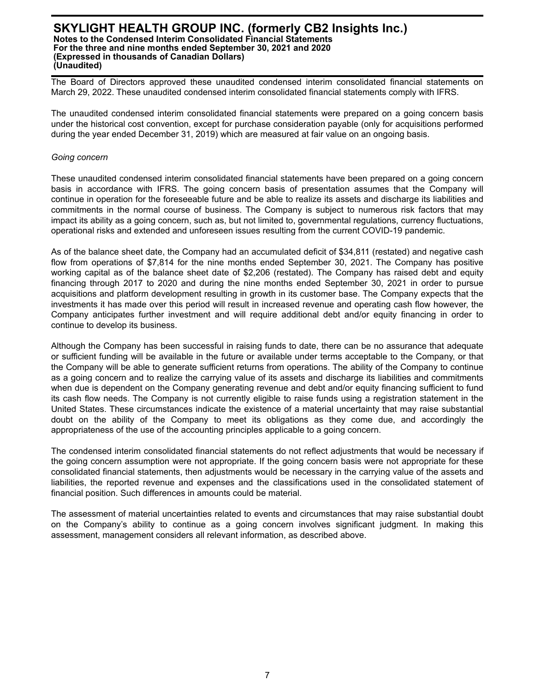The Board of Directors approved these unaudited condensed interim consolidated financial statements on March 29, 2022. These unaudited condensed interim consolidated financial statements comply with IFRS.

The unaudited condensed interim consolidated financial statements were prepared on a going concern basis under the historical cost convention, except for purchase consideration payable (only for acquisitions performed during the year ended December 31, 2019) which are measured at fair value on an ongoing basis.

#### *Going concern*

These unaudited condensed interim consolidated financial statements have been prepared on a going concern basis in accordance with IFRS. The going concern basis of presentation assumes that the Company will continue in operation for the foreseeable future and be able to realize its assets and discharge its liabilities and commitments in the normal course of business. The Company is subject to numerous risk factors that may impact its ability as a going concern, such as, but not limited to, governmental regulations, currency fluctuations, operational risks and extended and unforeseen issues resulting from the current COVID-19 pandemic.

As of the balance sheet date, the Company had an accumulated deficit of \$34,811 (restated) and negative cash flow from operations of \$7,814 for the nine months ended September 30, 2021. The Company has positive working capital as of the balance sheet date of \$2,206 (restated). The Company has raised debt and equity financing through 2017 to 2020 and during the nine months ended September 30, 2021 in order to pursue acquisitions and platform development resulting in growth in its customer base. The Company expects that the investments it has made over this period will result in increased revenue and operating cash flow however, the Company anticipates further investment and will require additional debt and/or equity financing in order to continue to develop its business.

Although the Company has been successful in raising funds to date, there can be no assurance that adequate or sufficient funding will be available in the future or available under terms acceptable to the Company, or that the Company will be able to generate sufficient returns from operations. The ability of the Company to continue as a going concern and to realize the carrying value of its assets and discharge its liabilities and commitments when due is dependent on the Company generating revenue and debt and/or equity financing sufficient to fund its cash flow needs. The Company is not currently eligible to raise funds using a registration statement in the United States. These circumstances indicate the existence of a material uncertainty that may raise substantial doubt on the ability of the Company to meet its obligations as they come due, and accordingly the appropriateness of the use of the accounting principles applicable to a going concern.

The condensed interim consolidated financial statements do not reflect adjustments that would be necessary if the going concern assumption were not appropriate. If the going concern basis were not appropriate for these consolidated financial statements, then adjustments would be necessary in the carrying value of the assets and liabilities, the reported revenue and expenses and the classifications used in the consolidated statement of financial position. Such differences in amounts could be material.

The assessment of material uncertainties related to events and circumstances that may raise substantial doubt on the Company's ability to continue as a going concern involves significant judgment. In making this assessment, management considers all relevant information, as described above.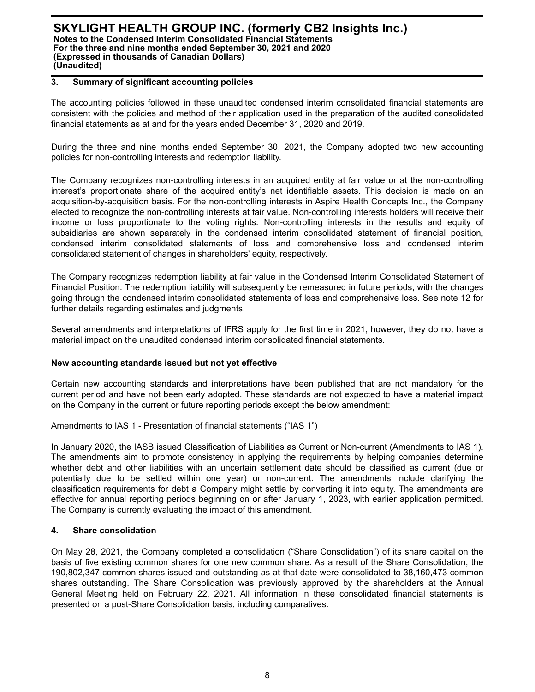## **3. Summary of significant accounting policies**

The accounting policies followed in these unaudited condensed interim consolidated financial statements are consistent with the policies and method of their application used in the preparation of the audited consolidated financial statements as at and for the years ended December 31, 2020 and 2019.

During the three and nine months ended September 30, 2021, the Company adopted two new accounting policies for non-controlling interests and redemption liability.

The Company recognizes non-controlling interests in an acquired entity at fair value or at the non-controlling interest's proportionate share of the acquired entity's net identifiable assets. This decision is made on an acquisition-by-acquisition basis. For the non-controlling interests in Aspire Health Concepts Inc., the Company elected to recognize the non-controlling interests at fair value. Non-controlling interests holders will receive their income or loss proportionate to the voting rights. Non-controlling interests in the results and equity of subsidiaries are shown separately in the condensed interim consolidated statement of financial position, condensed interim consolidated statements of loss and comprehensive loss and condensed interim consolidated statement of changes in shareholders' equity, respectively.

The Company recognizes redemption liability at fair value in the Condensed Interim Consolidated Statement of Financial Position. The redemption liability will subsequently be remeasured in future periods, with the changes going through the condensed interim consolidated statements of loss and comprehensive loss. See note 12 for further details regarding estimates and judgments.

Several amendments and interpretations of IFRS apply for the first time in 2021, however, they do not have a material impact on the unaudited condensed interim consolidated financial statements.

#### **New accounting standards issued but not yet effective**

Certain new accounting standards and interpretations have been published that are not mandatory for the current period and have not been early adopted. These standards are not expected to have a material impact on the Company in the current or future reporting periods except the below amendment:

#### Amendments to IAS 1 - Presentation of financial statements ("IAS 1")

In January 2020, the IASB issued Classification of Liabilities as Current or Non-current (Amendments to IAS 1). The amendments aim to promote consistency in applying the requirements by helping companies determine whether debt and other liabilities with an uncertain settlement date should be classified as current (due or potentially due to be settled within one year) or non-current. The amendments include clarifying the classification requirements for debt a Company might settle by converting it into equity. The amendments are effective for annual reporting periods beginning on or after January 1, 2023, with earlier application permitted. The Company is currently evaluating the impact of this amendment.

#### **4. Share consolidation**

On May 28, 2021, the Company completed a consolidation ("Share Consolidation") of its share capital on the basis of five existing common shares for one new common share. As a result of the Share Consolidation, the 190,802,347 common shares issued and outstanding as at that date were consolidated to 38,160,473 common shares outstanding. The Share Consolidation was previously approved by the shareholders at the Annual General Meeting held on February 22, 2021. All information in these consolidated financial statements is presented on a post-Share Consolidation basis, including comparatives.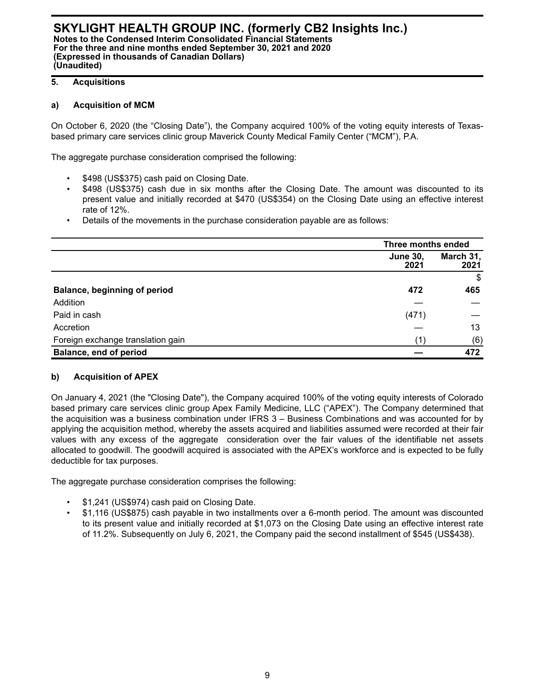## **5. Acquisitions**

## **a) Acquisition of MCM**

On October 6, 2020 (the "Closing Date"), the Company acquired 100% of the voting equity interests of Texasbased primary care services clinic group Maverick County Medical Family Center ("MCM"), P.A.

The aggregate purchase consideration comprised the following:

- \$498 (US\$375) cash paid on Closing Date.
- \$498 (US\$375) cash due in six months after the Closing Date. The amount was discounted to its present value and initially recorded at \$470 (US\$354) on the Closing Date using an effective interest rate of 12%.
- Details of the movements in the purchase consideration payable are as follows:

|                                   |                         | Three months ended |  |
|-----------------------------------|-------------------------|--------------------|--|
|                                   | <b>June 30,</b><br>2021 | March 31,<br>2021  |  |
|                                   |                         | \$                 |  |
| Balance, beginning of period      | 472                     | 465                |  |
| Addition                          |                         |                    |  |
| Paid in cash                      | (471)                   |                    |  |
| Accretion                         |                         | 13                 |  |
| Foreign exchange translation gain | (1`                     | (6)                |  |
| Balance, end of period            |                         | 472                |  |

## **b) Acquisition of APEX**

On January 4, 2021 (the "Closing Date"), the Company acquired 100% of the voting equity interests of Colorado based primary care services clinic group Apex Family Medicine, LLC ("APEX"). The Company determined that the acquisition was a business combination under IFRS 3 – Business Combinations and was accounted for by applying the acquisition method, whereby the assets acquired and liabilities assumed were recorded at their fair values with any excess of the aggregate consideration over the fair values of the identifiable net assets allocated to goodwill. The goodwill acquired is associated with the APEX's workforce and is expected to be fully deductible for tax purposes.

The aggregate purchase consideration comprises the following:

- \$1,241 (US\$974) cash paid on Closing Date.
- \$1,116 (US\$875) cash payable in two installments over a 6-month period. The amount was discounted to its present value and initially recorded at \$1,073 on the Closing Date using an effective interest rate of 11.2%. Subsequently on July 6, 2021, the Company paid the second installment of \$545 (US\$438).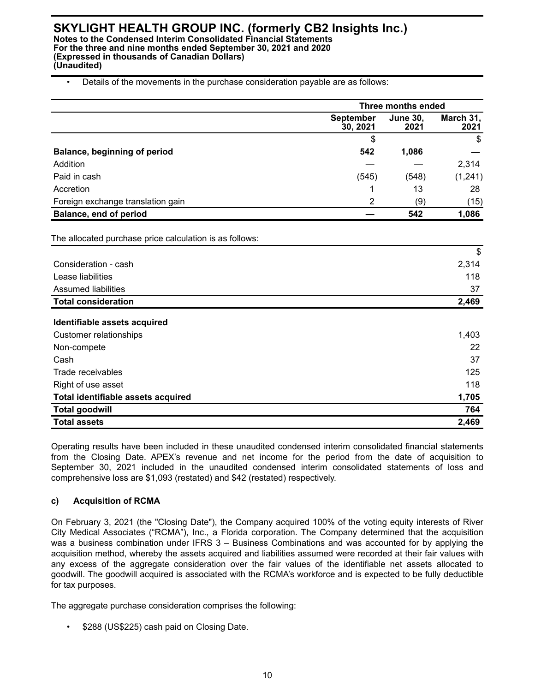<sup>•</sup> Details of the movements in the purchase consideration payable are as follows:

|                                                         | Three months ended           |                         |                   |
|---------------------------------------------------------|------------------------------|-------------------------|-------------------|
|                                                         | <b>September</b><br>30, 2021 | <b>June 30,</b><br>2021 | March 31,<br>2021 |
|                                                         | \$                           |                         | \$                |
| Balance, beginning of period                            | 542                          | 1,086                   |                   |
| Addition                                                |                              |                         | 2,314             |
| Paid in cash                                            | (545)                        | (548)                   | (1, 241)          |
| Accretion                                               | 1                            | 13                      | 28                |
| Foreign exchange translation gain                       | 2                            | (9)                     | (15)              |
| <b>Balance, end of period</b>                           |                              | 542                     | 1,086             |
| The allocated purchase price calculation is as follows: |                              |                         |                   |
|                                                         |                              |                         | \$                |
| Consideration - cash                                    |                              |                         | 2,314             |
| Lease liabilities                                       |                              |                         | 118               |
| <b>Assumed liabilities</b>                              |                              |                         | 37                |
| <b>Total consideration</b>                              |                              |                         | 2,469             |
| Identifiable assets acquired                            |                              |                         |                   |
| <b>Customer relationships</b>                           |                              |                         | 1,403             |
| Non-compete                                             |                              |                         | 22                |
| Cash                                                    |                              |                         | 37                |
| Trade receivables                                       |                              |                         | 125               |
| Right of use asset                                      |                              |                         | 118               |
| Total identifiable assets acquired                      |                              |                         | 1,705             |
| <b>Total goodwill</b>                                   |                              |                         | 764               |
| <b>Total assets</b>                                     |                              |                         | 2,469             |

Operating results have been included in these unaudited condensed interim consolidated financial statements from the Closing Date. APEX's revenue and net income for the period from the date of acquisition to September 30, 2021 included in the unaudited condensed interim consolidated statements of loss and comprehensive loss are \$1,093 (restated) and \$42 (restated) respectively.

## **c) Acquisition of RCMA**

On February 3, 2021 (the "Closing Date"), the Company acquired 100% of the voting equity interests of River City Medical Associates ("RCMA"), Inc., a Florida corporation. The Company determined that the acquisition was a business combination under IFRS 3 – Business Combinations and was accounted for by applying the acquisition method, whereby the assets acquired and liabilities assumed were recorded at their fair values with any excess of the aggregate consideration over the fair values of the identifiable net assets allocated to goodwill. The goodwill acquired is associated with the RCMA's workforce and is expected to be fully deductible for tax purposes.

The aggregate purchase consideration comprises the following:

\$288 (US\$225) cash paid on Closing Date.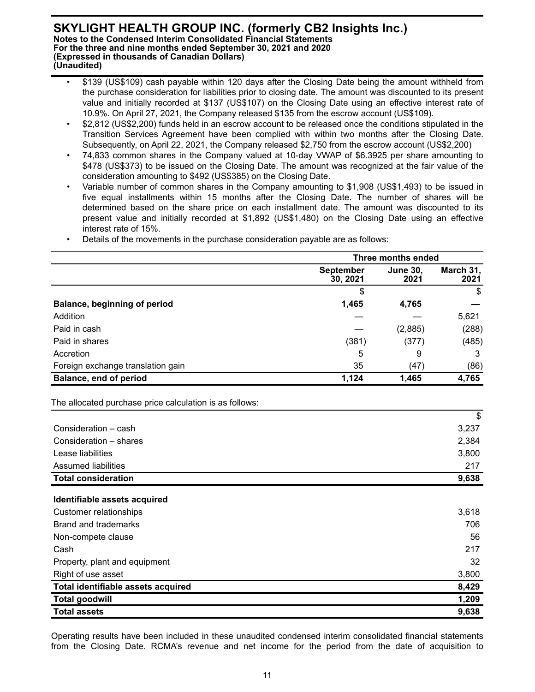- \$139 (US\$109) cash payable within 120 days after the Closing Date being the amount withheld from the purchase consideration for liabilities prior to closing date. The amount was discounted to its present value and initially recorded at \$137 (US\$107) on the Closing Date using an effective interest rate of 10.9%. On April 27, 2021, the Company released \$135 from the escrow account (US\$109).
- \$2,812 (US\$2,200) funds held in an escrow account to be released once the conditions stipulated in the Transition Services Agreement have been complied with within two months after the Closing Date. Subsequently, on April 22, 2021, the Company released \$2,750 from the escrow account (US\$2,200)
- 74,833 common shares in the Company valued at 10-day VWAP of \$6.3925 per share amounting to \$478 (US\$373) to be issued on the Closing Date. The amount was recognized at the fair value of the consideration amounting to \$492 (US\$385) on the Closing Date.
- Variable number of common shares in the Company amounting to \$1,908 (US\$1,493) to be issued in five equal installments within 15 months after the Closing Date. The number of shares will be determined based on the share price on each installment date. The amount was discounted to its present value and initially recorded at \$1,892 (US\$1,480) on the Closing Date using an effective interest rate of 15%.

|                                   |                              | Three months ended      |                   |  |
|-----------------------------------|------------------------------|-------------------------|-------------------|--|
|                                   | <b>September</b><br>30, 2021 | <b>June 30.</b><br>2021 | March 31,<br>2021 |  |
|                                   |                              |                         | \$                |  |
| Balance, beginning of period      | 1,465                        | 4,765                   |                   |  |
| Addition                          |                              |                         | 5,621             |  |
| Paid in cash                      |                              | (2,885)                 | (288)             |  |
| Paid in shares                    | (381)                        | (377)                   | (485)             |  |
| Accretion                         | 5                            | 9                       | 3                 |  |
| Foreign exchange translation gain | 35                           | (47)                    | (86)              |  |
| <b>Balance, end of period</b>     | 1,124                        | 1,465                   | 4,765             |  |

• Details of the movements in the purchase consideration payable are as follows:

|                                    | \$    |
|------------------------------------|-------|
| Consideration - cash               | 3,237 |
| Consideration - shares             | 2,384 |
| Lease liabilities                  | 3,800 |
| Assumed liabilities                | 217   |
| <b>Total consideration</b>         | 9,638 |
|                                    |       |
| Identifiable assets acquired       |       |
| Customer relationships             | 3,618 |
| Brand and trademarks               | 706   |
| Non-compete clause                 | 56    |
| Cash                               | 217   |
| Property, plant and equipment      | 32    |
| Right of use asset                 | 3,800 |
| Total identifiable assets acquired | 8,429 |
| <b>Total goodwill</b>              | 1,209 |
| <b>Total assets</b>                | 9,638 |

Operating results have been included in these unaudited condensed interim consolidated financial statements from the Closing Date. RCMA's revenue and net income for the period from the date of acquisition to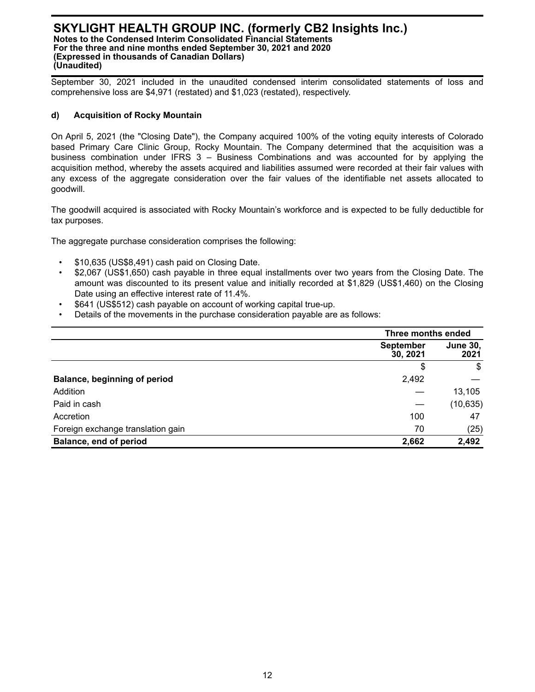September 30, 2021 included in the unaudited condensed interim consolidated statements of loss and comprehensive loss are \$4,971 (restated) and \$1,023 (restated), respectively.

## **d) Acquisition of Rocky Mountain**

On April 5, 2021 (the "Closing Date"), the Company acquired 100% of the voting equity interests of Colorado based Primary Care Clinic Group, Rocky Mountain. The Company determined that the acquisition was a business combination under IFRS 3 – Business Combinations and was accounted for by applying the acquisition method, whereby the assets acquired and liabilities assumed were recorded at their fair values with any excess of the aggregate consideration over the fair values of the identifiable net assets allocated to goodwill.

The goodwill acquired is associated with Rocky Mountain's workforce and is expected to be fully deductible for tax purposes.

The aggregate purchase consideration comprises the following:

- \$10,635 (US\$8,491) cash paid on Closing Date.
- \$2,067 (US\$1,650) cash payable in three equal installments over two years from the Closing Date. The amount was discounted to its present value and initially recorded at \$1,829 (US\$1,460) on the Closing Date using an effective interest rate of 11.4%.
- \$641 (US\$512) cash payable on account of working capital true-up.
- Details of the movements in the purchase consideration payable are as follows:

|                                     |                              | Three months ended      |  |  |
|-------------------------------------|------------------------------|-------------------------|--|--|
|                                     | <b>September</b><br>30, 2021 | <b>June 30,</b><br>2021 |  |  |
|                                     | \$                           | \$                      |  |  |
| <b>Balance, beginning of period</b> | 2,492                        |                         |  |  |
| Addition                            |                              | 13,105                  |  |  |
| Paid in cash                        |                              | (10, 635)               |  |  |
| Accretion                           | 100                          | 47                      |  |  |
| Foreign exchange translation gain   | 70                           | (25)                    |  |  |
| Balance, end of period              | 2,662                        | 2,492                   |  |  |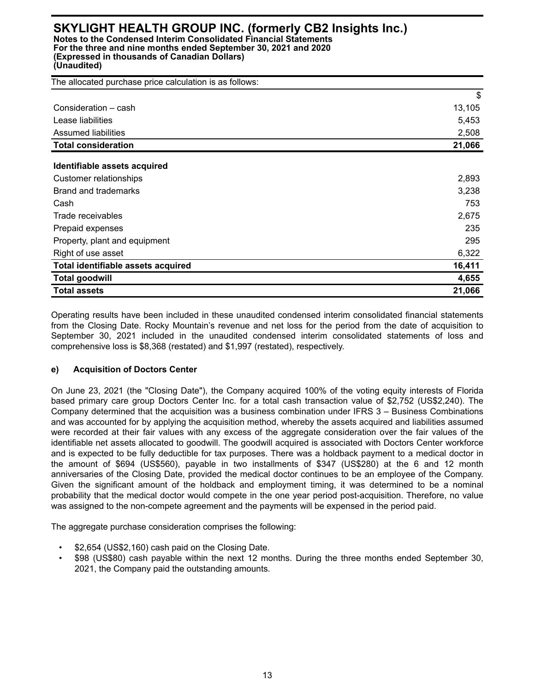**(Unaudited)**

| The allocated purchase price calculation is as follows: |        |
|---------------------------------------------------------|--------|
|                                                         | \$     |
| Consideration - cash                                    | 13,105 |
| Lease liabilities                                       | 5,453  |
| <b>Assumed liabilities</b>                              | 2,508  |
| <b>Total consideration</b>                              | 21,066 |
| Identifiable assets acquired                            |        |
| Customer relationships                                  | 2,893  |
| Brand and trademarks                                    | 3,238  |
| Cash                                                    | 753    |
| Trade receivables                                       | 2,675  |
| Prepaid expenses                                        | 235    |
| Property, plant and equipment                           | 295    |
| Right of use asset                                      | 6,322  |
| Total identifiable assets acquired                      | 16,411 |
| <b>Total goodwill</b>                                   | 4,655  |
| <b>Total assets</b>                                     | 21,066 |

Operating results have been included in these unaudited condensed interim consolidated financial statements from the Closing Date. Rocky Mountain's revenue and net loss for the period from the date of acquisition to September 30, 2021 included in the unaudited condensed interim consolidated statements of loss and comprehensive loss is \$8,368 (restated) and \$1,997 (restated), respectively.

## **e) Acquisition of Doctors Center**

On June 23, 2021 (the "Closing Date"), the Company acquired 100% of the voting equity interests of Florida based primary care group Doctors Center Inc. for a total cash transaction value of \$2,752 (US\$2,240). The Company determined that the acquisition was a business combination under IFRS 3 – Business Combinations and was accounted for by applying the acquisition method, whereby the assets acquired and liabilities assumed were recorded at their fair values with any excess of the aggregate consideration over the fair values of the identifiable net assets allocated to goodwill. The goodwill acquired is associated with Doctors Center workforce and is expected to be fully deductible for tax purposes. There was a holdback payment to a medical doctor in the amount of \$694 (US\$560), payable in two installments of \$347 (US\$280) at the 6 and 12 month anniversaries of the Closing Date, provided the medical doctor continues to be an employee of the Company. Given the significant amount of the holdback and employment timing, it was determined to be a nominal probability that the medical doctor would compete in the one year period post-acquisition. Therefore, no value was assigned to the non-compete agreement and the payments will be expensed in the period paid.

The aggregate purchase consideration comprises the following:

- \$2,654 (US\$2,160) cash paid on the Closing Date.
- \$98 (US\$80) cash payable within the next 12 months. During the three months ended September 30, 2021, the Company paid the outstanding amounts.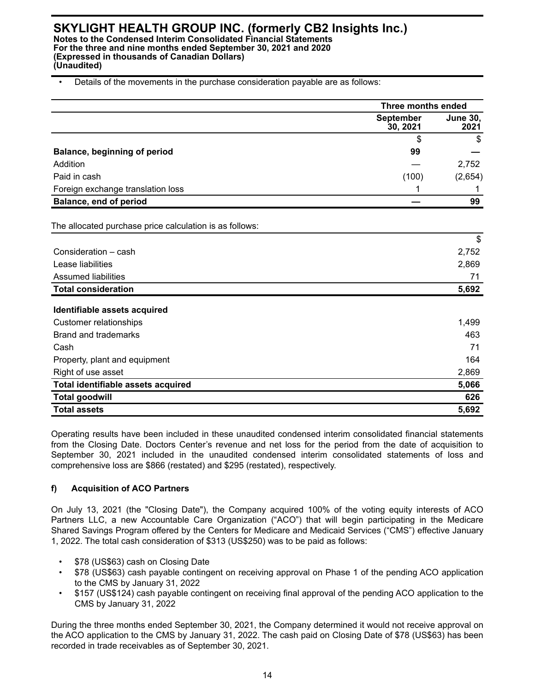#### • Details of the movements in the purchase consideration payable are as follows:

|                                                         | Three months ended           |                         |
|---------------------------------------------------------|------------------------------|-------------------------|
|                                                         | <b>September</b><br>30, 2021 | <b>June 30,</b><br>2021 |
|                                                         | \$                           | $\mathbb{S}$            |
| Balance, beginning of period                            | 99                           |                         |
| Addition                                                |                              | 2,752                   |
| Paid in cash                                            | (100)                        | (2,654)                 |
| Foreign exchange translation loss                       | 1                            |                         |
| Balance, end of period                                  |                              | 99                      |
| The allocated purchase price calculation is as follows: |                              |                         |
|                                                         |                              | \$                      |
| Consideration - cash                                    |                              | 2,752                   |
| Lease liabilities                                       |                              | 2,869                   |
| <b>Assumed liabilities</b>                              |                              | 71                      |
| <b>Total consideration</b>                              |                              | 5,692                   |
| Identifiable assets acquired                            |                              |                         |
| <b>Customer relationships</b>                           |                              | 1,499                   |
| <b>Brand and trademarks</b>                             |                              | 463                     |
| Cash                                                    |                              | 71                      |
| Property, plant and equipment                           |                              | 164                     |
| Right of use asset                                      |                              | 2,869                   |
| Total identifiable assets acquired                      |                              | 5,066                   |
| <b>Total goodwill</b>                                   |                              | 626                     |
| <b>Total assets</b>                                     |                              | 5,692                   |

Operating results have been included in these unaudited condensed interim consolidated financial statements from the Closing Date. Doctors Center's revenue and net loss for the period from the date of acquisition to September 30, 2021 included in the unaudited condensed interim consolidated statements of loss and comprehensive loss are \$866 (restated) and \$295 (restated), respectively.

## **f) Acquisition of ACO Partners**

On July 13, 2021 (the "Closing Date"), the Company acquired 100% of the voting equity interests of ACO Partners LLC, a new Accountable Care Organization ("ACO") that will begin participating in the Medicare Shared Savings Program offered by the Centers for Medicare and Medicaid Services ("CMS") effective January 1, 2022. The total cash consideration of \$313 (US\$250) was to be paid as follows:

- \$78 (US\$63) cash on Closing Date
- \$78 (US\$63) cash payable contingent on receiving approval on Phase 1 of the pending ACO application to the CMS by January 31, 2022
- \$157 (US\$124) cash payable contingent on receiving final approval of the pending ACO application to the CMS by January 31, 2022

During the three months ended September 30, 2021, the Company determined it would not receive approval on the ACO application to the CMS by January 31, 2022. The cash paid on Closing Date of \$78 (US\$63) has been recorded in trade receivables as of September 30, 2021.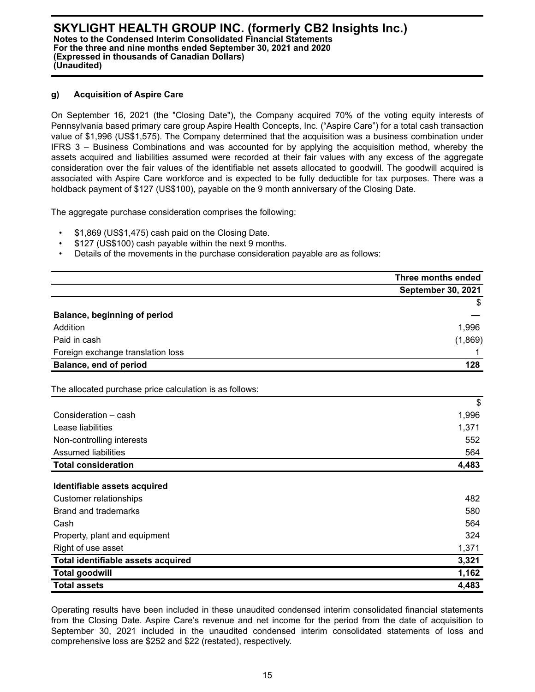#### **g) Acquisition of Aspire Care**

On September 16, 2021 (the "Closing Date"), the Company acquired 70% of the voting equity interests of Pennsylvania based primary care group Aspire Health Concepts, Inc. ("Aspire Care") for a total cash transaction value of \$1,996 (US\$1,575). The Company determined that the acquisition was a business combination under IFRS 3 – Business Combinations and was accounted for by applying the acquisition method, whereby the assets acquired and liabilities assumed were recorded at their fair values with any excess of the aggregate consideration over the fair values of the identifiable net assets allocated to goodwill. The goodwill acquired is associated with Aspire Care workforce and is expected to be fully deductible for tax purposes. There was a holdback payment of \$127 (US\$100), payable on the 9 month anniversary of the Closing Date.

The aggregate purchase consideration comprises the following:

- \$1,869 (US\$1,475) cash paid on the Closing Date.
- \$127 (US\$100) cash payable within the next 9 months.
- Details of the movements in the purchase consideration payable are as follows:

|                                                         | Three months ended        |
|---------------------------------------------------------|---------------------------|
|                                                         | <b>September 30, 2021</b> |
|                                                         | \$                        |
| <b>Balance, beginning of period</b>                     |                           |
| Addition                                                | 1,996                     |
| Paid in cash                                            | (1,869)                   |
| Foreign exchange translation loss                       |                           |
| Balance, end of period                                  | 128                       |
| The allocated purchase price calculation is as follows: |                           |
|                                                         | $\mathfrak{S}$            |
| Consideration - cash                                    | 1,996                     |
| Lease liabilities                                       | 1,371                     |
| Non-controlling interests                               | 552                       |
| <b>Assumed liabilities</b>                              | 564                       |
| <b>Total consideration</b>                              | 4,483                     |
| Identifiable assets acquired                            |                           |
| <b>Customer relationships</b>                           | 482                       |
| <b>Brand and trademarks</b>                             | 580                       |
| Cash                                                    | 564                       |
| Property, plant and equipment                           | 324                       |
| Right of use asset                                      | 1,371                     |
| Total identifiable assets acquired                      | 3,321                     |
| <b>Total goodwill</b>                                   | 1,162                     |
| <b>Total assets</b>                                     | 4,483                     |

Operating results have been included in these unaudited condensed interim consolidated financial statements from the Closing Date. Aspire Care's revenue and net income for the period from the date of acquisition to September 30, 2021 included in the unaudited condensed interim consolidated statements of loss and comprehensive loss are \$252 and \$22 (restated), respectively.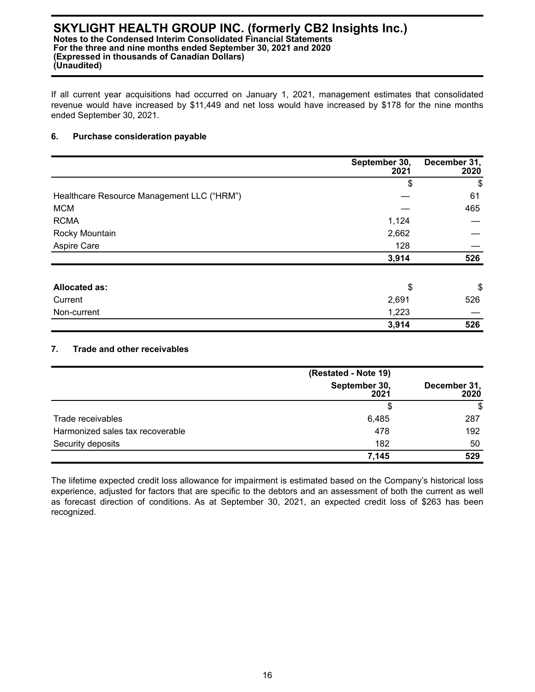If all current year acquisitions had occurred on January 1, 2021, management estimates that consolidated revenue would have increased by \$11,449 and net loss would have increased by \$178 for the nine months ended September 30, 2021.

#### **6. Purchase consideration payable**

|                                            | September 30,<br>2021 | December 31,<br>2020 |
|--------------------------------------------|-----------------------|----------------------|
|                                            | \$                    | \$                   |
| Healthcare Resource Management LLC ("HRM") |                       | 61                   |
| <b>MCM</b>                                 |                       | 465                  |
| <b>RCMA</b>                                | 1,124                 |                      |
| Rocky Mountain                             | 2,662                 |                      |
| Aspire Care                                | 128                   |                      |
|                                            | 3,914                 | 526                  |
| <b>Allocated as:</b>                       | \$                    | \$                   |
| Current                                    | 2,691                 | 526                  |
| Non-current                                | 1,223                 |                      |
|                                            | 3,914                 | 526                  |

### **7. Trade and other receivables**

|                                  | (Restated - Note 19)  |                      |
|----------------------------------|-----------------------|----------------------|
|                                  | September 30,<br>2021 | December 31,<br>2020 |
|                                  | \$                    | \$                   |
| Trade receivables                | 6,485                 | 287                  |
| Harmonized sales tax recoverable | 478                   | 192                  |
| Security deposits                | 182                   | 50                   |
|                                  | 7,145                 | 529                  |

The lifetime expected credit loss allowance for impairment is estimated based on the Company's historical loss experience, adjusted for factors that are specific to the debtors and an assessment of both the current as well as forecast direction of conditions. As at September 30, 2021, an expected credit loss of \$263 has been recognized.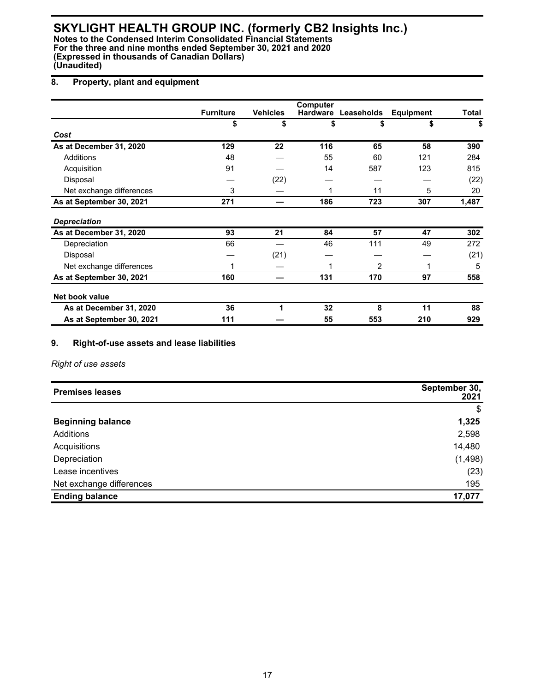## **8. Property, plant and equipment**

|                          | <b>Furniture</b> | <b>Vehicles</b> | <b>Computer</b> | Hardware Leaseholds | <b>Equipment</b> | Total |
|--------------------------|------------------|-----------------|-----------------|---------------------|------------------|-------|
|                          | \$               | \$              | \$              | \$                  | \$               | \$    |
| Cost                     |                  |                 |                 |                     |                  |       |
| As at December 31, 2020  | 129              | 22              | 116             | 65                  | 58               | 390   |
| Additions                | 48               |                 | 55              | 60                  | 121              | 284   |
| Acquisition              | 91               |                 | 14              | 587                 | 123              | 815   |
| Disposal                 |                  | (22)            |                 |                     |                  | (22)  |
| Net exchange differences | 3                |                 |                 | 11                  | 5                | 20    |
| As at September 30, 2021 | 271              |                 | 186             | 723                 | 307              | 1,487 |
| <b>Depreciation</b>      |                  |                 |                 |                     |                  |       |
| As at December 31, 2020  | 93               | 21              | 84              | 57                  | 47               | 302   |
| Depreciation             | 66               |                 | 46              | 111                 | 49               | 272   |
| Disposal                 |                  | (21)            |                 |                     |                  | (21)  |
| Net exchange differences |                  |                 |                 | 2                   |                  | 5     |
| As at September 30, 2021 | 160              |                 | 131             | 170                 | 97               | 558   |
| Net book value           |                  |                 |                 |                     |                  |       |
| As at December 31, 2020  | 36               |                 | 32              | 8                   | 11               | 88    |
| As at September 30, 2021 | 111              |                 | 55              | 553                 | 210              | 929   |

## **9. Right-of-use assets and lease liabilities**

*Right of use assets*

| <b>Premises leases</b>   | September 30,<br>2021 |
|--------------------------|-----------------------|
|                          | \$                    |
| <b>Beginning balance</b> | 1,325                 |
| Additions                | 2,598                 |
| Acquisitions             | 14,480                |
| Depreciation             | (1, 498)              |
| Lease incentives         | (23)                  |
| Net exchange differences | 195                   |
| <b>Ending balance</b>    | 17,077                |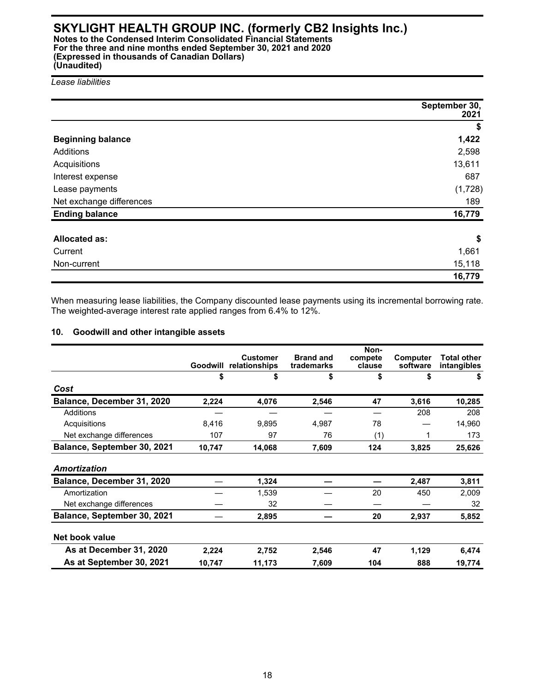## **SKYLIGHT HEALTH GROUP INC. (formerly CB2 Insights Inc.) Notes to the Condensed Interim Consolidated Financial Statements**

**For the three and nine months ended September 30, 2021 and 2020 (Expressed in thousands of Canadian Dollars) (Unaudited)**

*Lease liabilities*

|                          | September 30,<br>2021 |
|--------------------------|-----------------------|
|                          | \$                    |
| <b>Beginning balance</b> | 1,422                 |
| Additions                | 2,598                 |
| Acquisitions             | 13,611                |
| Interest expense         | 687                   |
| Lease payments           | (1,728)               |
| Net exchange differences | 189                   |
| <b>Ending balance</b>    | 16,779                |
|                          |                       |
| <b>Allocated as:</b>     | \$                    |
| Current                  | 1,661                 |
| Non-current              | 15,118                |
|                          | 16,779                |

When measuring lease liabilities, the Company discounted lease payments using its incremental borrowing rate. The weighted-average interest rate applied ranges from 6.4% to 12%.

## **10. Goodwill and other intangible assets**

|                             | Goodwill | <b>Customer</b><br>relationships | <b>Brand and</b><br>trademarks | Non-<br>compete<br>clause | <b>Computer</b><br>software | <b>Total other</b><br>intangibles |
|-----------------------------|----------|----------------------------------|--------------------------------|---------------------------|-----------------------------|-----------------------------------|
|                             | \$       | \$                               | \$                             | \$                        | \$                          | \$                                |
| Cost                        |          |                                  |                                |                           |                             |                                   |
| Balance, December 31, 2020  | 2,224    | 4,076                            | 2,546                          | 47                        | 3,616                       | 10,285                            |
| Additions                   |          |                                  |                                |                           | 208                         | 208                               |
| Acquisitions                | 8.416    | 9,895                            | 4,987                          | 78                        |                             | 14,960                            |
| Net exchange differences    | 107      | 97                               | 76                             | (1)                       | 1                           | 173                               |
| Balance, September 30, 2021 | 10,747   | 14,068                           | 7,609                          | 124                       | 3,825                       | 25,626                            |
| Amortization                |          |                                  |                                |                           |                             |                                   |
| Balance, December 31, 2020  |          | 1,324                            |                                |                           | 2,487                       | 3,811                             |
| Amortization                |          | 1,539                            |                                | 20                        | 450                         | 2,009                             |
| Net exchange differences    |          | 32                               |                                |                           |                             | 32                                |
| Balance, September 30, 2021 |          | 2,895                            |                                | 20                        | 2,937                       | 5,852                             |
| Net book value              |          |                                  |                                |                           |                             |                                   |
| As at December 31, 2020     | 2,224    | 2,752                            | 2,546                          | 47                        | 1,129                       | 6,474                             |
| As at September 30, 2021    | 10,747   | 11,173                           | 7,609                          | 104                       | 888                         | 19,774                            |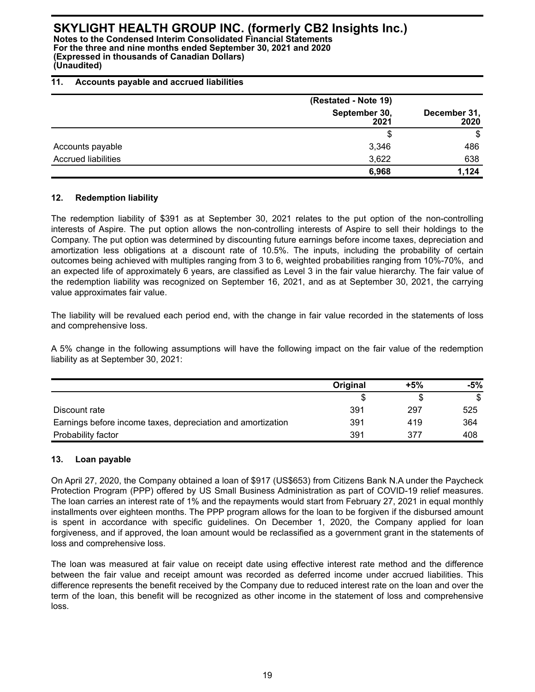**Notes to the Condensed Interim Consolidated Financial Statements For the three and nine months ended September 30, 2021 and 2020 (Expressed in thousands of Canadian Dollars) (Unaudited)**

#### **11. Accounts payable and accrued liabilities**

|                            | (Restated - Note 19)  |                      |  |
|----------------------------|-----------------------|----------------------|--|
|                            | September 30,<br>2021 | December 31,<br>2020 |  |
|                            | \$                    | \$                   |  |
| Accounts payable           | 3,346                 | 486                  |  |
| <b>Accrued liabilities</b> | 3,622                 | 638                  |  |
|                            | 6,968                 | 1,124                |  |

### **12. Redemption liability**

The redemption liability of \$391 as at September 30, 2021 relates to the put option of the non-controlling interests of Aspire. The put option allows the non-controlling interests of Aspire to sell their holdings to the Company. The put option was determined by discounting future earnings before income taxes, depreciation and amortization less obligations at a discount rate of 10.5%. The inputs, including the probability of certain outcomes being achieved with multiples ranging from 3 to 6, weighted probabilities ranging from 10%-70%, and an expected life of approximately 6 years, are classified as Level 3 in the fair value hierarchy. The fair value of the redemption liability was recognized on September 16, 2021, and as at September 30, 2021, the carrying value approximates fair value.

The liability will be revalued each period end, with the change in fair value recorded in the statements of loss and comprehensive loss.

A 5% change in the following assumptions will have the following impact on the fair value of the redemption liability as at September 30, 2021:

|                                                             | Original | $+5%$ | -5% |
|-------------------------------------------------------------|----------|-------|-----|
|                                                             |          |       | S   |
| Discount rate                                               | 391      | 297   | 525 |
| Earnings before income taxes, depreciation and amortization | 391      | 419   | 364 |
| Probability factor                                          | 391      | 377   | 408 |

## **13. Loan payable**

On April 27, 2020, the Company obtained a loan of \$917 (US\$653) from Citizens Bank N.A under the Paycheck Protection Program (PPP) offered by US Small Business Administration as part of COVID-19 relief measures. The loan carries an interest rate of 1% and the repayments would start from February 27, 2021 in equal monthly installments over eighteen months. The PPP program allows for the loan to be forgiven if the disbursed amount is spent in accordance with specific guidelines. On December 1, 2020, the Company applied for loan forgiveness, and if approved, the loan amount would be reclassified as a government grant in the statements of loss and comprehensive loss.

The loan was measured at fair value on receipt date using effective interest rate method and the difference between the fair value and receipt amount was recorded as deferred income under accrued liabilities. This difference represents the benefit received by the Company due to reduced interest rate on the loan and over the term of the loan, this benefit will be recognized as other income in the statement of loss and comprehensive loss.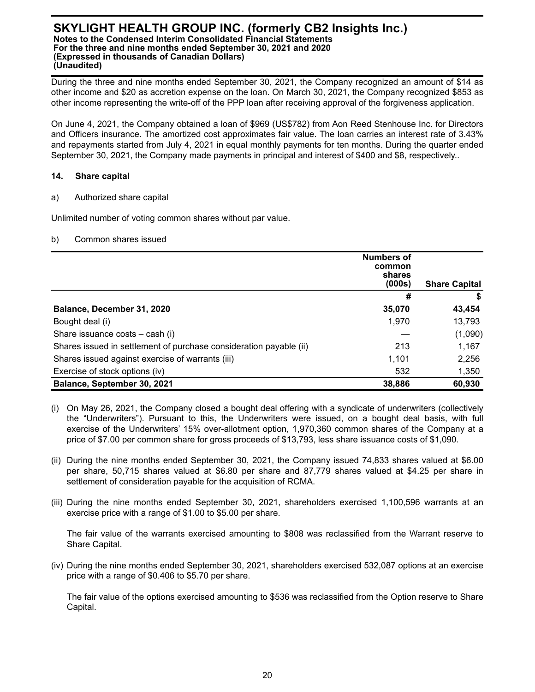During the three and nine months ended September 30, 2021, the Company recognized an amount of \$14 as other income and \$20 as accretion expense on the loan. On March 30, 2021, the Company recognized \$853 as other income representing the write-off of the PPP loan after receiving approval of the forgiveness application.

On June 4, 2021, the Company obtained a loan of \$969 (US\$782) from Aon Reed Stenhouse Inc. for Directors and Officers insurance. The amortized cost approximates fair value. The loan carries an interest rate of 3.43% and repayments started from July 4, 2021 in equal monthly payments for ten months. During the quarter ended September 30, 2021, the Company made payments in principal and interest of \$400 and \$8, respectively..

### **14. Share capital**

a) Authorized share capital

Unlimited number of voting common shares without par value.

b) Common shares issued

|                                                                    | <b>Numbers of</b><br>common<br>shares<br>(000s) | <b>Share Capital</b> |
|--------------------------------------------------------------------|-------------------------------------------------|----------------------|
|                                                                    | #                                               |                      |
| Balance, December 31, 2020                                         | 35,070                                          | 43,454               |
| Bought deal (i)                                                    | 1,970                                           | 13,793               |
| Share issuance costs – cash (i)                                    |                                                 | (1,090)              |
| Shares issued in settlement of purchase consideration payable (ii) | 213                                             | 1,167                |
| Shares issued against exercise of warrants (iii)                   | 1,101                                           | 2,256                |
| Exercise of stock options (iv)                                     | 532                                             | 1,350                |
| Balance, September 30, 2021                                        | 38,886                                          | 60,930               |

- (i) On May 26, 2021, the Company closed a bought deal offering with a syndicate of underwriters (collectively the "Underwriters"). Pursuant to this, the Underwriters were issued, on a bought deal basis, with full exercise of the Underwriters' 15% over-allotment option, 1,970,360 common shares of the Company at a price of \$7.00 per common share for gross proceeds of \$13,793, less share issuance costs of \$1,090.
- (ii) During the nine months ended September 30, 2021, the Company issued 74,833 shares valued at \$6.00 per share, 50,715 shares valued at \$6.80 per share and 87,779 shares valued at \$4.25 per share in settlement of consideration payable for the acquisition of RCMA.
- (iii) During the nine months ended September 30, 2021, shareholders exercised 1,100,596 warrants at an exercise price with a range of \$1.00 to \$5.00 per share.

The fair value of the warrants exercised amounting to \$808 was reclassified from the Warrant reserve to Share Capital.

(iv) During the nine months ended September 30, 2021, shareholders exercised 532,087 options at an exercise price with a range of \$0.406 to \$5.70 per share.

The fair value of the options exercised amounting to \$536 was reclassified from the Option reserve to Share Capital.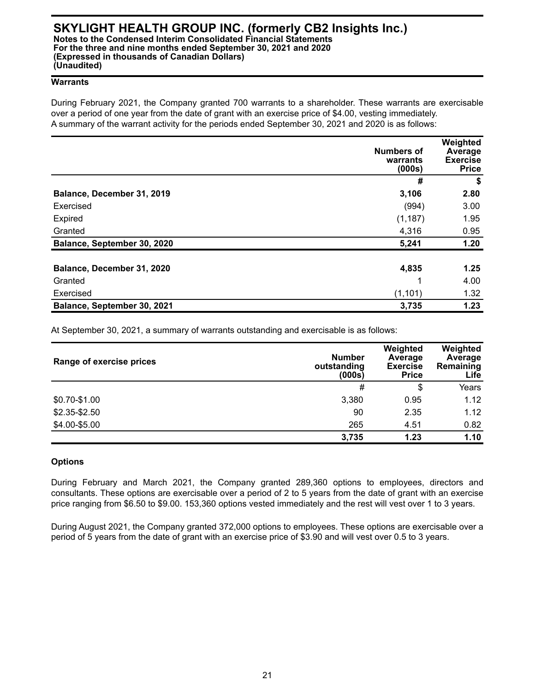#### **Warrants**

During February 2021, the Company granted 700 warrants to a shareholder. These warrants are exercisable over a period of one year from the date of grant with an exercise price of \$4.00, vesting immediately. A summary of the warrant activity for the periods ended September 30, 2021 and 2020 is as follows:

|                             | <b>Numbers of</b><br>warrants<br>(000s) | Weighted<br>Average<br><b>Exercise</b><br><b>Price</b> |
|-----------------------------|-----------------------------------------|--------------------------------------------------------|
|                             | #                                       | \$                                                     |
| Balance, December 31, 2019  | 3,106                                   | 2.80                                                   |
| Exercised                   | (994)                                   | 3.00                                                   |
| Expired                     | (1, 187)                                | 1.95                                                   |
| Granted                     | 4,316                                   | 0.95                                                   |
| Balance, September 30, 2020 | 5,241                                   | 1.20                                                   |
|                             |                                         |                                                        |
| Balance, December 31, 2020  | 4,835                                   | 1.25                                                   |
| Granted                     | и                                       | 4.00                                                   |
| Exercised                   | (1, 101)                                | 1.32                                                   |
| Balance, September 30, 2021 | 3,735                                   | 1.23                                                   |

At September 30, 2021, a summary of warrants outstanding and exercisable is as follows:

| Range of exercise prices | <b>Number</b><br>outstanding<br>(000s) | Weighted<br>Average<br><b>Exercise</b><br><b>Price</b> | Weighted<br>Average<br>Remaining<br>Life |
|--------------------------|----------------------------------------|--------------------------------------------------------|------------------------------------------|
|                          | #                                      | \$                                                     | Years                                    |
| \$0.70-\$1.00            | 3,380                                  | 0.95                                                   | 1.12                                     |
| $$2.35 - $2.50$          | 90                                     | 2.35                                                   | 1.12                                     |
| \$4.00-\$5.00            | 265                                    | 4.51                                                   | 0.82                                     |
|                          | 3,735                                  | 1.23                                                   | 1.10                                     |

#### **Options**

During February and March 2021, the Company granted 289,360 options to employees, directors and consultants. These options are exercisable over a period of 2 to 5 years from the date of grant with an exercise price ranging from \$6.50 to \$9.00. 153,360 options vested immediately and the rest will vest over 1 to 3 years.

During August 2021, the Company granted 372,000 options to employees. These options are exercisable over a period of 5 years from the date of grant with an exercise price of \$3.90 and will vest over 0.5 to 3 years.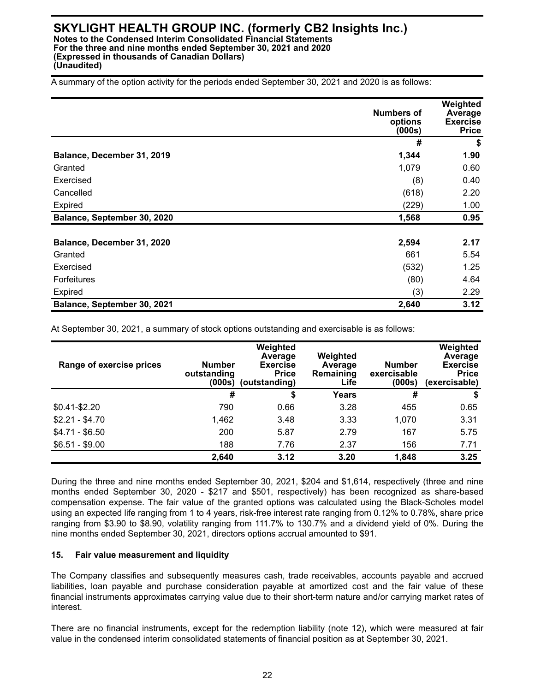A summary of the option activity for the periods ended September 30, 2021 and 2020 is as follows:

|                             | <b>Numbers of</b><br>options<br>(000s) | Weighted<br>Average<br><b>Exercise</b><br><b>Price</b> |
|-----------------------------|----------------------------------------|--------------------------------------------------------|
|                             | #                                      | \$                                                     |
| Balance, December 31, 2019  | 1,344                                  | 1.90                                                   |
| Granted                     | 1,079                                  | 0.60                                                   |
| Exercised                   | (8)                                    | 0.40                                                   |
| Cancelled                   | (618)                                  | 2.20                                                   |
| Expired                     | (229)                                  | 1.00                                                   |
| Balance, September 30, 2020 | 1,568                                  | 0.95                                                   |
|                             |                                        |                                                        |
| Balance, December 31, 2020  | 2,594                                  | 2.17                                                   |
| Granted                     | 661                                    | 5.54                                                   |
| Exercised                   | (532)                                  | 1.25                                                   |
| <b>Forfeitures</b>          | (80)                                   | 4.64                                                   |
| Expired                     | (3)                                    | 2.29                                                   |
| Balance, September 30, 2021 | 2,640                                  | 3.12                                                   |

At September 30, 2021, a summary of stock options outstanding and exercisable is as follows:

| Range of exercise prices | <b>Number</b><br>outstanding<br>(000s) | Weighted<br>Average<br><b>Exercise</b><br><b>Price</b><br>(outstanding) | Weighted<br>Average<br>Remaining<br>Life | <b>Number</b><br>exercisable<br>(000s) | Weighted<br>Average<br><b>Exercise</b><br><b>Price</b><br>(exercisable) |
|--------------------------|----------------------------------------|-------------------------------------------------------------------------|------------------------------------------|----------------------------------------|-------------------------------------------------------------------------|
|                          | #                                      | \$                                                                      | Years                                    | #                                      | \$                                                                      |
| $$0.41 - $2.20$          | 790                                    | 0.66                                                                    | 3.28                                     | 455                                    | 0.65                                                                    |
| $$2.21 - $4.70$          | 1,462                                  | 3.48                                                                    | 3.33                                     | 1,070                                  | 3.31                                                                    |
| $$4.71 - $6.50$          | 200                                    | 5.87                                                                    | 2.79                                     | 167                                    | 5.75                                                                    |
| $$6.51 - $9.00$          | 188                                    | 7.76                                                                    | 2.37                                     | 156                                    | 7.71                                                                    |
|                          | 2,640                                  | 3.12                                                                    | 3.20                                     | 1,848                                  | 3.25                                                                    |

During the three and nine months ended September 30, 2021, \$204 and \$1,614, respectively (three and nine months ended September 30, 2020 - \$217 and \$501, respectively) has been recognized as share-based compensation expense. The fair value of the granted options was calculated using the Black-Scholes model using an expected life ranging from 1 to 4 years, risk-free interest rate ranging from 0.12% to 0.78%, share price ranging from \$3.90 to \$8.90, volatility ranging from 111.7% to 130.7% and a dividend yield of 0%. During the nine months ended September 30, 2021, directors options accrual amounted to \$91.

#### **15. Fair value measurement and liquidity**

The Company classifies and subsequently measures cash, trade receivables, accounts payable and accrued liabilities, loan payable and purchase consideration payable at amortized cost and the fair value of these financial instruments approximates carrying value due to their short-term nature and/or carrying market rates of interest.

There are no financial instruments, except for the redemption liability (note 12), which were measured at fair value in the condensed interim consolidated statements of financial position as at September 30, 2021.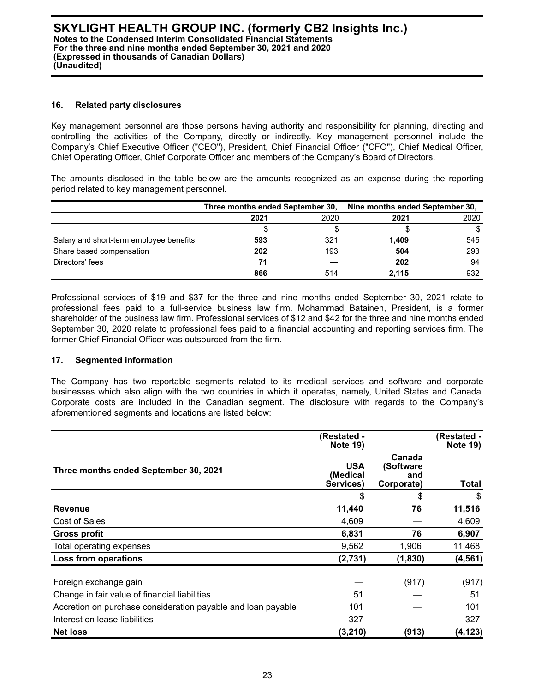#### **16. Related party disclosures**

Key management personnel are those persons having authority and responsibility for planning, directing and controlling the activities of the Company, directly or indirectly. Key management personnel include the Company's Chief Executive Officer ("CEO"), President, Chief Financial Officer ("CFO"), Chief Medical Officer, Chief Operating Officer, Chief Corporate Officer and members of the Company's Board of Directors.

The amounts disclosed in the table below are the amounts recognized as an expense during the reporting period related to key management personnel.

|                                         | Three months ended September 30, |      | Nine months ended September 30, |      |
|-----------------------------------------|----------------------------------|------|---------------------------------|------|
|                                         | 2021                             | 2020 | 2021                            | 2020 |
|                                         |                                  |      |                                 |      |
| Salary and short-term employee benefits | 593                              | 321  | 1,409                           | 545  |
| Share based compensation                | 202                              | 193  | 504                             | 293  |
| Directors' fees                         | 71                               |      | 202                             | 94   |
|                                         | 866                              | 514  | 2.115                           | 932  |

Professional services of \$19 and \$37 for the three and nine months ended September 30, 2021 relate to professional fees paid to a full-service business law firm. Mohammad Bataineh, President, is a former shareholder of the business law firm. Professional services of \$12 and \$42 for the three and nine months ended September 30, 2020 relate to professional fees paid to a financial accounting and reporting services firm. The former Chief Financial Officer was outsourced from the firm.

## **17. Segmented information**

The Company has two reportable segments related to its medical services and software and corporate businesses which also align with the two countries in which it operates, namely, United States and Canada. Corporate costs are included in the Canadian segment. The disclosure with regards to the Company's aforementioned segments and locations are listed below:

|                                                              | (Restated -<br><b>Note 19)</b>      |                                          | (Restated -<br><b>Note 19)</b> |
|--------------------------------------------------------------|-------------------------------------|------------------------------------------|--------------------------------|
| Three months ended September 30, 2021                        | <b>USA</b><br>(Medical<br>Services) | Canada<br>(Software<br>and<br>Corporate) | Total                          |
|                                                              | \$                                  | \$                                       | \$                             |
| <b>Revenue</b>                                               | 11,440                              | 76                                       | 11,516                         |
| Cost of Sales                                                | 4,609                               |                                          | 4,609                          |
| <b>Gross profit</b>                                          | 6,831                               | 76                                       | 6,907                          |
| Total operating expenses                                     | 9,562                               | 1,906                                    | 11,468                         |
| <b>Loss from operations</b>                                  | (2,731)                             | (1,830)                                  | (4, 561)                       |
| Foreign exchange gain                                        |                                     | (917)                                    | (917)                          |
| Change in fair value of financial liabilities                | 51                                  |                                          | 51                             |
| Accretion on purchase consideration payable and loan payable | 101                                 |                                          | 101                            |
| Interest on lease liabilities                                | 327                                 |                                          | 327                            |
| <b>Net loss</b>                                              | (3, 210)                            | (913)                                    | (4, 123)                       |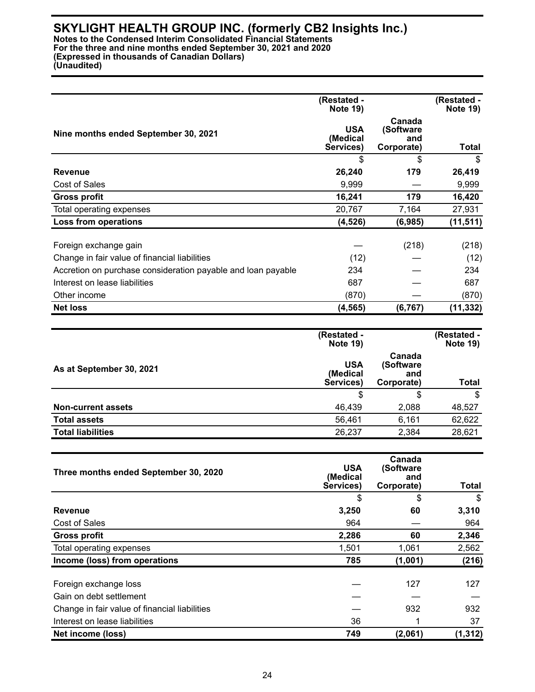**Notes to the Condensed Interim Consolidated Financial Statements For the three and nine months ended September 30, 2021 and 2020 (Expressed in thousands of Canadian Dollars) (Unaudited)**

**(Restated - Note 19) (Restated - Note 19) Nine months ended September 30, 2021 USA (Medical Services) Canada (Software and Corporate) Total** \$ \$ \$ **Revenue 26,240 179 26,419**  Cost of Sales 9,999 — 9,999 **Gross profit 16,241** 179 16,420 Total operating expenses 20,767 20,767 27,931 **Loss from operations (4,526) (6,985) (11,511)**  Foreign exchange gain  $-$  (218) (218) (218) Change in fair value of financial liabilities  $(12)$   $(12)$ Accretion on purchase consideration payable and loan payable  $234 - 234$ Interest on lease liabilities 687 — 687 Other income (870) — (870) **Net loss (4,565) (6,767) (11,332)** 

|                           | (Restated -<br><b>Note 19)</b>      |                                          | (Restated -<br><b>Note 19)</b> |
|---------------------------|-------------------------------------|------------------------------------------|--------------------------------|
| As at September 30, 2021  | <b>USA</b><br>(Medical<br>Services) | Canada<br>(Software<br>and<br>Corporate) | <b>Total</b>                   |
|                           | \$                                  | \$                                       | \$                             |
| <b>Non-current assets</b> | 46,439                              | 2,088                                    | 48,527                         |
| <b>Total assets</b>       | 56,461                              | 6,161                                    | 62,622                         |
| <b>Total liabilities</b>  | 26,237                              | 2,384                                    | 28,621                         |

| Three months ended September 30, 2020         | <b>USA</b><br>(Medical<br>Services) | Canada<br>(Software<br>and<br>Corporate) | <b>Total</b> |
|-----------------------------------------------|-------------------------------------|------------------------------------------|--------------|
|                                               | \$                                  | \$                                       | \$           |
| <b>Revenue</b>                                | 3,250                               | 60                                       | 3,310        |
| Cost of Sales                                 | 964                                 |                                          | 964          |
| <b>Gross profit</b>                           | 2,286                               | 60                                       | 2,346        |
| Total operating expenses                      | 1,501                               | 1,061                                    | 2,562        |
| Income (loss) from operations                 | 785                                 | (1,001)                                  | (216)        |
|                                               |                                     |                                          |              |
| Foreign exchange loss                         |                                     | 127                                      | 127          |
| Gain on debt settlement                       |                                     |                                          |              |
| Change in fair value of financial liabilities |                                     | 932                                      | 932          |
| Interest on lease liabilities                 | 36                                  |                                          | 37           |
| Net income (loss)                             | 749                                 | (2,061)                                  | (1, 312)     |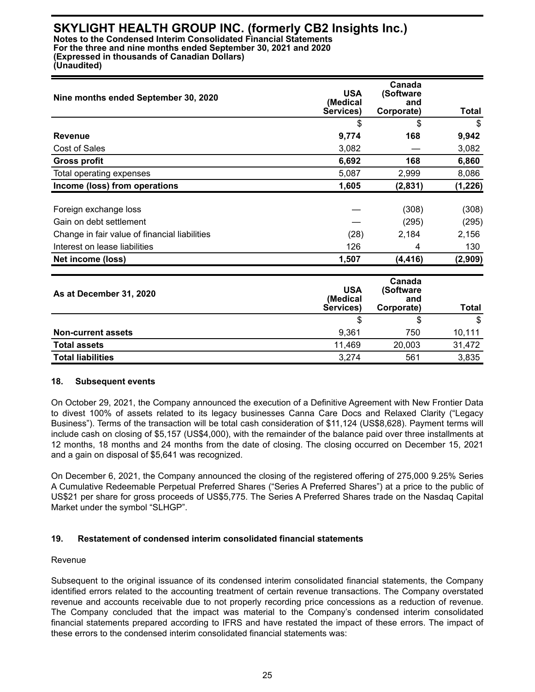| Nine months ended September 30, 2020          | <b>USA</b><br>(Medical<br>Services) | Canada<br>(Software<br>and<br>Corporate) | Total    |
|-----------------------------------------------|-------------------------------------|------------------------------------------|----------|
|                                               | \$                                  | \$                                       | \$       |
| <b>Revenue</b>                                | 9,774                               | 168                                      | 9,942    |
| Cost of Sales                                 | 3,082                               |                                          | 3,082    |
| <b>Gross profit</b>                           | 6,692                               | 168                                      | 6,860    |
| Total operating expenses                      | 5,087                               | 2,999                                    | 8,086    |
| Income (loss) from operations                 | 1,605                               | (2,831)                                  | (1, 226) |
| Foreign exchange loss                         |                                     | (308)                                    | (308)    |
| Gain on debt settlement                       |                                     | (295)                                    | (295)    |
| Change in fair value of financial liabilities | (28)                                | 2,184                                    | 2,156    |
| Interest on lease liabilities                 | 126                                 | 4                                        | 130      |
| Net income (loss)                             | 1,507                               | (4,416)                                  | (2,909)  |

| As at December 31, 2020   | <b>USA</b><br>(Medical<br>Services) | Canada<br>(Software)<br>and<br>Corporate) | Total  |
|---------------------------|-------------------------------------|-------------------------------------------|--------|
|                           | \$                                  | \$                                        | \$     |
| <b>Non-current assets</b> | 9,361                               | 750                                       | 10,111 |
| <b>Total assets</b>       | 11,469                              | 20,003                                    | 31,472 |
| <b>Total liabilities</b>  | 3,274                               | 561                                       | 3,835  |

#### **18. Subsequent events**

On October 29, 2021, the Company announced the execution of a Definitive Agreement with New Frontier Data to divest 100% of assets related to its legacy businesses Canna Care Docs and Relaxed Clarity ("Legacy Business"). Terms of the transaction will be total cash consideration of \$11,124 (US\$8,628). Payment terms will include cash on closing of \$5,157 (US\$4,000), with the remainder of the balance paid over three installments at 12 months, 18 months and 24 months from the date of closing. The closing occurred on December 15, 2021 and a gain on disposal of \$5,641 was recognized.

On December 6, 2021, the Company announced the closing of the registered offering of 275,000 9.25% Series A Cumulative Redeemable Perpetual Preferred Shares ("Series A Preferred Shares") at a price to the public of US\$21 per share for gross proceeds of US\$5,775. The Series A Preferred Shares trade on the Nasdaq Capital Market under the symbol "SLHGP".

## **19. Restatement of condensed interim consolidated financial statements**

#### Revenue

Subsequent to the original issuance of its condensed interim consolidated financial statements, the Company identified errors related to the accounting treatment of certain revenue transactions. The Company overstated revenue and accounts receivable due to not properly recording price concessions as a reduction of revenue. The Company concluded that the impact was material to the Company's condensed interim consolidated financial statements prepared according to IFRS and have restated the impact of these errors. The impact of these errors to the condensed interim consolidated financial statements was: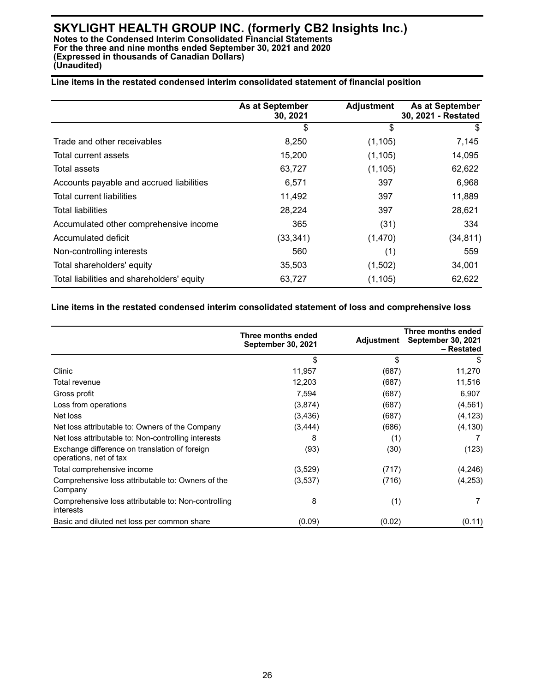## **Line items in the restated condensed interim consolidated statement of financial position**

|                                            | <b>As at September</b><br><b>Adjustment</b><br>30, 2021 |          | As at September<br>30, 2021 - Restated |  |
|--------------------------------------------|---------------------------------------------------------|----------|----------------------------------------|--|
|                                            | \$                                                      | \$       | \$                                     |  |
| Trade and other receivables                | 8,250                                                   | (1, 105) | 7,145                                  |  |
| Total current assets                       | 15,200                                                  | (1, 105) | 14,095                                 |  |
| Total assets                               | 63,727                                                  | (1, 105) | 62,622                                 |  |
| Accounts payable and accrued liabilities   | 6,571                                                   | 397      | 6,968                                  |  |
| Total current liabilities                  | 11,492                                                  | 397      | 11,889                                 |  |
| <b>Total liabilities</b>                   | 28,224                                                  | 397      | 28,621                                 |  |
| Accumulated other comprehensive income     | 365                                                     | (31)     | 334                                    |  |
| Accumulated deficit                        | (33, 341)                                               | (1,470)  | (34, 811)                              |  |
| Non-controlling interests                  | 560                                                     | (1)      | 559                                    |  |
| Total shareholders' equity                 | 35,503                                                  | (1,502)  | 34,001                                 |  |
| Total liabilities and shareholders' equity | 63,727                                                  | (1, 105) | 62,622                                 |  |

#### **Line items in the restated condensed interim consolidated statement of loss and comprehensive loss**

|                                                                         | Three months ended<br><b>September 30, 2021</b> | Adjustment | Three months ended<br><b>September 30, 2021</b><br>– Restated |
|-------------------------------------------------------------------------|-------------------------------------------------|------------|---------------------------------------------------------------|
|                                                                         | \$                                              | \$         | S                                                             |
| Clinic                                                                  | 11,957                                          | (687)      | 11,270                                                        |
| Total revenue                                                           | 12,203                                          | (687)      | 11,516                                                        |
| Gross profit                                                            | 7,594                                           | (687)      | 6,907                                                         |
| Loss from operations                                                    | (3,874)                                         | (687)      | (4, 561)                                                      |
| Net loss                                                                | (3,436)                                         | (687)      | (4, 123)                                                      |
| Net loss attributable to: Owners of the Company                         | (3, 444)                                        | (686)      | (4, 130)                                                      |
| Net loss attributable to: Non-controlling interests                     | 8                                               | (1)        |                                                               |
| Exchange difference on translation of foreign<br>operations, net of tax | (93)                                            | (30)       | (123)                                                         |
| Total comprehensive income                                              | (3,529)                                         | (717)      | (4, 246)                                                      |
| Comprehensive loss attributable to: Owners of the<br>Company            | (3,537)                                         | (716)      | (4,253)                                                       |
| Comprehensive loss attributable to: Non-controlling<br>interests        | 8                                               | (1)        |                                                               |
| Basic and diluted net loss per common share                             | (0.09)                                          | (0.02)     | (0.11)                                                        |